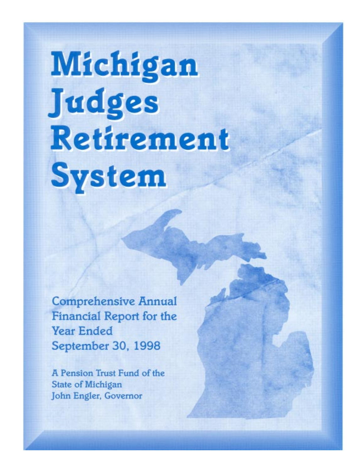Michigan Judges Retirement **System** 

**Comprehensive Annual** Financial Report for the **Year Ended** September 30, 1998

A Pension Trust Fund of the State of Michigan John Engler, Governor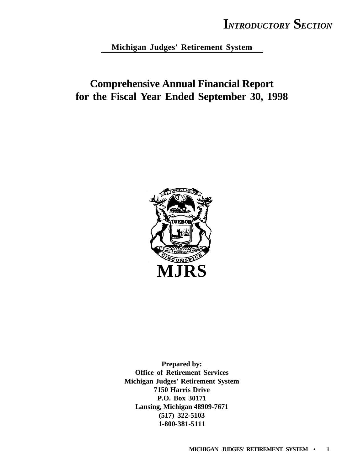**Michigan Judges' Retirement System**

### **Comprehensive Annual Financial Report for the Fiscal Year Ended September 30, 1998**



**Prepared by: Office of Retirement Services Michigan Judges' Retirement System 7150 Harris Drive P.O. Box 30171 Lansing, Michigan 48909-7671 (517) 322-5103 1-800-381-5111**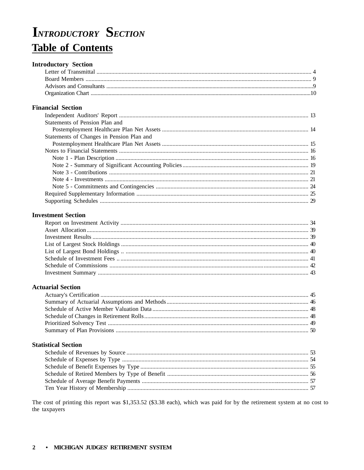## **INTRODUCTORY SECTION Table of Contents**

### **Introductory Section**

### **Financial Section**

| Statements of Pension Plan and            |  |
|-------------------------------------------|--|
|                                           |  |
| Statements of Changes in Pension Plan and |  |
|                                           |  |
|                                           |  |
|                                           |  |
|                                           |  |
|                                           |  |
|                                           |  |
|                                           |  |
|                                           |  |
|                                           |  |
|                                           |  |

### **Investment Section**

### **Actuarial Section**

### **Statistical Section**

The cost of printing this report was \$1,353.52 (\$3.38 each), which was paid for by the retirement system at no cost to the taxpayers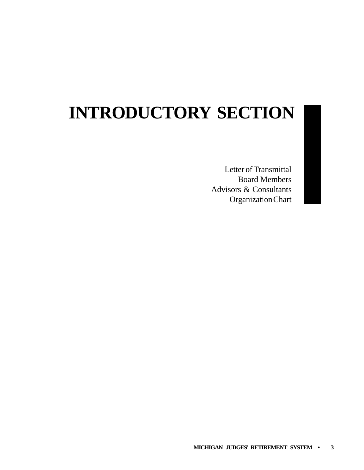Letter of Transmittal Board Members Advisors & Consultants Organization Chart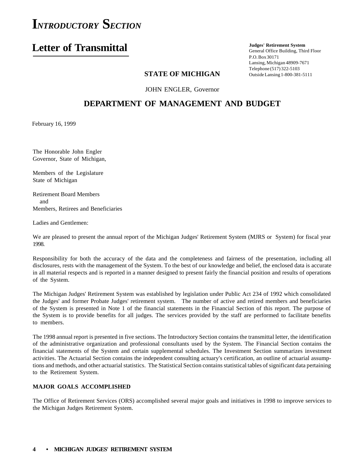### **Letter of Transmittal**

**Judges' Retirement System** General Office Building, Third Floor P.O. Box 30171 Lansing, Michigan 48909-7671 Telephone (517) 322-5103 Outside Lansing 1-800-381-5111

### **STATE OF MICHIGAN**

JOHN ENGLER, Governor

### **DEPARTMENT OF MANAGEMENT AND BUDGET**

February 16, 1999

The Honorable John Engler Governor, State of Michigan,

Members of the Legislature State of Michigan

Retirement Board Members and Members, Retirees and Beneficiaries

Ladies and Gentlemen:

We are pleased to present the annual report of the Michigan Judges' Retirement System (MJRS or System) for fiscal year 1998.

Responsibility for both the accuracy of the data and the completeness and fairness of the presentation, including all disclosures, rests with the management of the System. To the best of our knowledge and belief, the enclosed data is accurate in all material respects and is reported in a manner designed to present fairly the financial position and results of operations of the System.

The Michigan Judges' Retirement System was established by legislation under Public Act 234 of 1992 which consolidated the Judges' and former Probate Judges' retirement system. The number of active and retired members and beneficiaries of the System is presented in Note 1 of the financial statements in the Financial Section of this report. The purpose of the System is to provide benefits for all judges. The services provided by the staff are performed to facilitate benefits to members.

The 1998 annual report is presented in five sections. The Introductory Section contains the transmittal letter, the identification of the administrative organization and professional consultants used by the System. The Financial Section contains the financial statements of the System and certain supplemental schedules. The Investment Section summarizes investment activities. The Actuarial Section contains the independent consulting actuary's certification, an outline of actuarial assumptions and methods, and other actuarial statistics. The Statistical Section contains statistical tables of significant data pertaining to the Retirement System.

### **MAJOR GOALS ACCOMPLISHED**

The Office of Retirement Services (ORS) accomplished several major goals and initiatives in 1998 to improve services to the Michigan Judges Retirement System.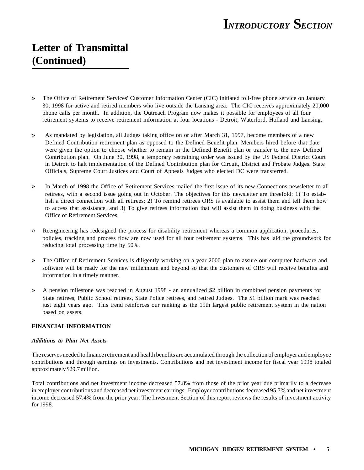### **Letter of Transmittal (Continued)**

- » The Office of Retirement Services' Customer Information Center (CIC) initiated toll-free phone service on January 30, 1998 for active and retired members who live outside the Lansing area. The CIC receives approximately 20,000 phone calls per month. In addition, the Outreach Program now makes it possible for employees of all four retirement systems to receive retirement information at four locations - Detroit, Waterford, Holland and Lansing.
- » As mandated by legislation, all Judges taking office on or after March 31, 1997, become members of a new Defined Contribution retirement plan as opposed to the Defined Benefit plan. Members hired before that date were given the option to choose whether to remain in the Defined Benefit plan or transfer to the new Defined Contribution plan. On June 30, 1998, a temporary restraining order was issued by the US Federal District Court in Detroit to halt implementation of the Defined Contribution plan for Circuit, District and Probate Judges. State Officials, Supreme Court Justices and Court of Appeals Judges who elected DC were transferred.
- » In March of 1998 the Office of Retirement Services mailed the first issue of its new Connections newsletter to all retirees, with a second issue going out in October. The objectives for this newsletter are threefold: 1) To establish a direct connection with all retirees; 2) To remind retirees ORS is available to assist them and tell them how to access that assistance, and 3) To give retirees information that will assist them in doing business with the Office of Retirement Services.
- » Reengineering has redesigned the process for disability retirement whereas a common application, procedures, policies, tracking and process flow are now used for all four retirement systems. This has laid the groundwork for reducing total processing time by 50%.
- » The Office of Retirement Services is diligently working on a year 2000 plan to assure our computer hardware and software will be ready for the new millennium and beyond so that the customers of ORS will receive benefits and information in a timely manner.
- » A pension milestone was reached in August 1998 an annualized \$2 billion in combined pension payments for State retirees, Public School retirees, State Police retirees, and retired Judges. The \$1 billion mark was reached just eight years ago. This trend reinforces our ranking as the 19th largest public retirement system in the nation based on assets.

### **FINANCIAL INFORMATION**

### *Additions to Plan Net Assets*

The reserves needed to finance retirement and health benefits are accumulated through the collection of employer and employee contributions and through earnings on investments. Contributions and net investment income for fiscal year 1998 totaled approximately \$29.7 million.

Total contributions and net investment income decreased 57.8% from those of the prior year due primarily to a decrease in employer contributions and decreased net investment earnings. Employer contributions decreased 95.7% and net investment income decreased 57.4% from the prior year. The Investment Section of this report reviews the results of investment activity for 1998.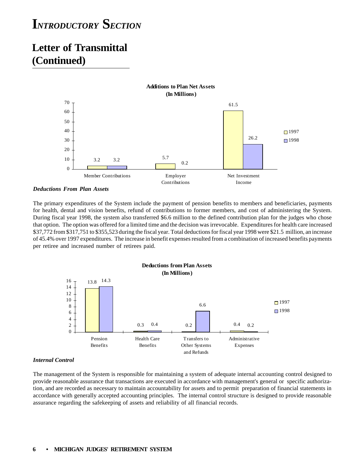### **Letter of Transmittal (Continued)**

#### **Additions to Plan Net Assets (In Millions)** 3.2 5.7 61.5 3.2  $3.7$  0.2 26.2 0 10 20 30 40 50 60 70 Member Contributions Employer Contributions Net Investment Income  $1997$  $1998$



The primary expenditures of the System include the payment of pension benefits to members and beneficiaries, payments for health, dental and vision benefits, refund of contributions to former members, and cost of administering the System. During fiscal year 1998, the system also transferred \$6.6 million to the defined contribution plan for the judges who chose that option. The option was offered for a limited time and the decision was irrevocable. Expenditures for health care increased \$37,772 from \$317,751 to \$355,523 during the fiscal year. Total deductions for fiscal year 1998 were \$21.5 million, an increase of 45.4% over 1997 expenditures. The increase in benefit expenses resulted from a combination of increased benefits payments per retiree and increased number of retirees paid.



### *Internal Control*

The management of the System is responsible for maintaining a system of adequate internal accounting control designed to provide reasonable assurance that transactions are executed in accordance with management's general or specific authorization, and are recorded as necessary to maintain accountability for assets and to permit preparation of financial statements in accordance with generally accepted accounting principles. The internal control structure is designed to provide reasonable assurance regarding the safekeeping of assets and reliability of all financial records.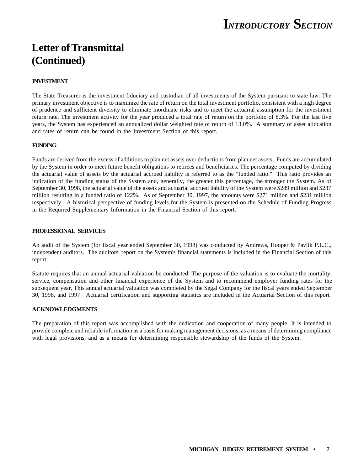### **Letter of Transmittal (Continued)**

### **INVESTMENT**

The State Treasurer is the investment fiduciary and custodian of all investments of the System pursuant to state law. The primary investment objective is to maximize the rate of return on the total investment portfolio, consistent with a high degree of prudence and sufficient diversity to eliminate inordinate risks and to meet the actuarial assumption for the investment return rate. The investment activity for the year produced a total rate of return on the portfolio of 8.3%. For the last five years, the System has experienced an annualized dollar weighted rate of return of 13.0%. A summary of asset allocation and rates of return can be found in the Investment Section of this report.

#### **FUNDING**

Funds are derived from the excess of additions to plan net assets over deductions from plan net assets. Funds are accumulated by the System in order to meet future benefit obligations to retirees and beneficiaries. The percentage computed by dividing the actuarial value of assets by the actuarial accrued liability is referred to as the "funded ratio." This ratio provides an indication of the funding status of the System and, generally, the greater this percentage, the stronger the System. As of September 30, 1998, the actuarial value of the assets and actuarial accrued liability of the System were \$289 million and \$237 million resulting in a funded ratio of 122%. As of September 30, 1997, the amounts were \$271 million and \$231 million respectively. A historical perspective of funding levels for the System is presented on the Schedule of Funding Progress in the Required Supplementary Information in the Financial Section of this report.

#### **PROFESSIONAL SERVICES**

An audit of the System (for fiscal year ended September 30, 1998) was conducted by Andrews, Hooper & Pavlik P.L.C., independent auditors. The auditors' report on the System's financial statements is included in the Financial Section of this report.

Statute requires that an annual actuarial valuation be conducted. The purpose of the valuation is to evaluate the mortality, service, compensation and other financial experience of the System and to recommend employer funding rates for the subsequent year. This annual actuarial valuation was completed by the Segal Company for the fiscal years ended September 30, 1998, and 1997. Actuarial certification and supporting statistics are included in the Actuarial Section of this report.

#### **ACKNOWLEDGMENTS**

The preparation of this report was accomplished with the dedication and cooperation of many people. It is intended to provide complete and reliable information as a basis for making management decisions, as a means of determining compliance with legal provisions, and as a means for determining responsible stewardship of the funds of the System.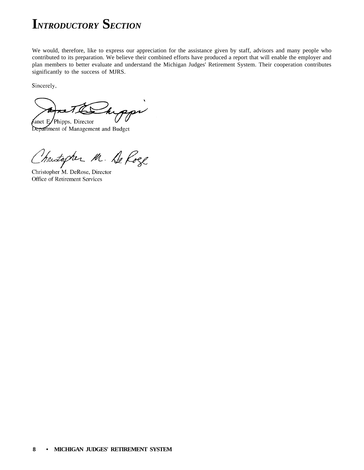We would, therefore, like to express our appreciation for the assistance given by staff, advisors and many people who contributed to its preparation. We believe their combined efforts have produced a report that will enable the employer and plan members to better evaluate and understand the Michigan Judges' Retirement System. Their cooperation contributes significantly to the success of MJRS.

Sincerely,

hx ø anet E/Phipps, Director

Department of Management and Budget

Chartopher M. De Roge

Christopher M. DeRose, Director Office of Retirement Services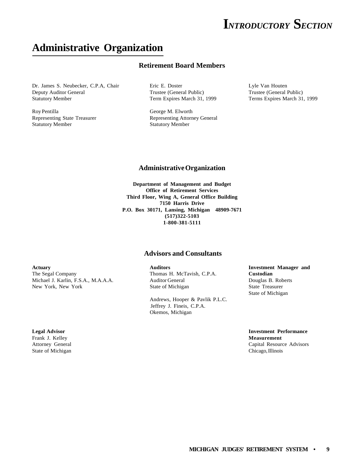### **Administrative Organization**

### **Retirement Board Members**

Dr. James S. Neubecker, C.P.A, Chair Eric E. Doster Lyle Van Houten Deputy Auditor General Trustee (General Public) Trustee (General Public) Statutory Member Term Expires March 31, 1999 Terms Expires March 31, 1999

Roy Pentilla George M. Elworth Statutory Member Statutory Member

Representing State Treasurer Representing Attorney General

### **Administrative Organization**

**Department of Management and Budget Office of Retirement Services Third Floor, Wing A, General Office Building 7150 Harris Drive P.O. Box 30171, Lansing, Michigan 48909-7671 (517)322-5103 1-800-381-5111**

### **Advisors and Consultants**

The Segal Company Thomas H. McTavish, C.P.A. **Custodian** Michael J. Karlin, F.S.A., M.A.A.A. Auditor General Douglas B. Roberts New York, New York State of Michigan State Treasurer

State of Michigan Chicago, Illinois

Andrews, Hooper & Pavlik P.L.C. Jeffrey J. Fineis, C.P.A. Okemos, Michigan

**Actuary Auditors Investment Manager and** State of Michigan

**Legal Advisor Investment Performance** Frank J. Kelley **Measurement** Attorney General **Capital Resource Advisors Capital Resource Advisors**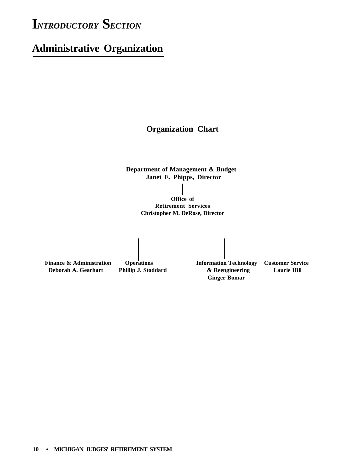### **Administrative Organization**

### **Organization Chart**

 **Department of Management & Budget Janet E. Phipps, Director**

> **Office of Retirement Services Christopher M. DeRose, Director**

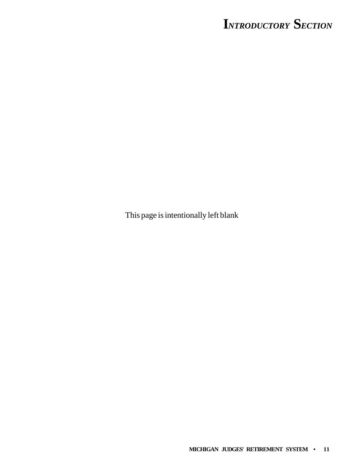This page is intentionally left blank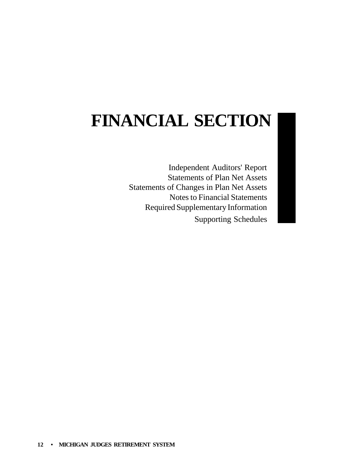Independent Auditors' Report Statements of Plan Net Assets Statements of Changes in Plan Net Assets Notes to Financial Statements Required Supplementary Information Supporting Schedules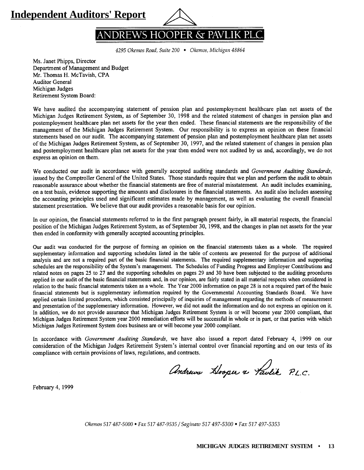### **Independent Auditors' Report**



& PAVLIK PI NDREWS HO

4295 Okemos Road, Suite 200 · Okemos, Michigan 48864

Ms. Janet Phipps, Director Department of Management and Budget Mr. Thomas H. McTavish, CPA **Auditor General** Michigan Judges Retirement System Board:

We have audited the accompanying statement of pension plan and postemployment healthcare plan net assets of the Michigan Judges Retirement System, as of September 30, 1998 and the related statement of changes in pension plan and postemployment healthcare plan net assets for the year then ended. These financial statements are the responsibility of the management of the Michigan Judges Retirement System. Our responsibility is to express an opinion on these financial statements based on our audit. The accompanying statement of pension plan and postemployment healthcare plan net assets of the Michigan Judges Retirement System, as of September 30, 1997, and the related statement of changes in pension plan and postemployment healthcare plan net assets for the year then ended were not audited by us and, accordingly, we do not express an opinion on them.

We conducted our audit in accordance with generally accepted auditing standards and Government Auditing Standards, issued by the Comptroller General of the United States. Those standards require that we plan and perform the audit to obtain reasonable assurance about whether the financial statements are free of material misstatement. An audit includes examining, on a test basis, evidence supporting the amounts and disclosures in the financial statements. An audit also includes assessing the accounting principles used and significant estimates made by management, as well as evaluating the overall financial statement presentation. We believe that our audit provides a reasonable basis for our opinion.

In our opinion, the financial statements referred to in the first paragraph present fairly, in all material respects, the financial position of the Michigan Judges Retirement System, as of September 30, 1998, and the changes in plan net assets for the year then ended in conformity with generally accepted accounting principles.

Our audit was conducted for the purpose of forming an opinion on the financial statements taken as a whole. The required supplementary information and supporting schedules listed in the table of contents are presented for the purpose of additional analysis and are not a required part of the basic financial statements. The required supplementary information and supporting schedules are the responsibility of the System's management. The Schedules of Funding Progress and Employer Contributions and related notes on pages 25 to 27 and the supporting schedules on pages 29 and 30 have been subjected to the auditing procedures applied in our audit of the basic financial statements and, in our opinion, are fairly stated in all material respects when considered in relation to the basic financial statements taken as a whole. The Year 2000 information on page 28 is not a required part of the basic financial statements but is supplementary information required by the Governmental Accounting Standards Board. We have applied certain limited procedures, which consisted principally of inquiries of management regarding the methods of measurement and presentation of the supplementary information. However, we did not audit the information and do not express an opinion on it. In addition, we do not provide assurance that Michigan Judges Retirement System is or will become year 2000 compliant, that Michigan Judges Retirement System year 2000 remediation efforts will be successful in whole or in part, or that parties with which Michigan Judges Retirement System does business are or will become year 2000 compliant.

In accordance with Government Auditing Standards, we have also issued a report dated February 4, 1999 on our consideration of the Michigan Judges Retirement System's internal control over financial reporting and on our tests of its compliance with certain provisions of laws, regulations, and contracts.

Andrews Hooper & Taulik P.L.C.

February 4, 1999

Okemos 517 487-5000 · Fax 517 487-9535 / Saginaw 517 497-5300 · Fax 517 497-5353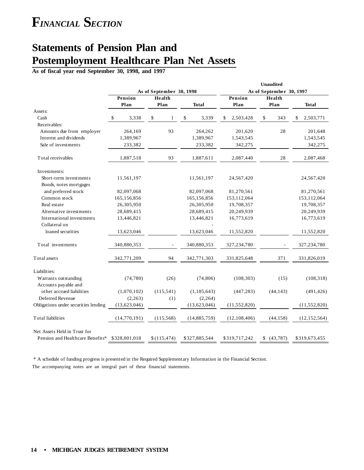### **Statements of Pension Plan and Postemployment Healthcare Plan Net Assets**

**As of fiscal year end September 30, 1998, and 1997**

|                                      |                          |              |                | <b>Unaudited</b>         |            |                 |  |
|--------------------------------------|--------------------------|--------------|----------------|--------------------------|------------|-----------------|--|
|                                      | As of September 30, 1998 |              |                | As of September 30, 1997 |            |                 |  |
|                                      | Pension                  | Health       |                | Pension                  | Health     |                 |  |
|                                      | Plan                     | Plan         | <b>Total</b>   | Plan                     | Plan       | <b>Total</b>    |  |
| Assets:                              |                          |              |                |                          |            |                 |  |
| Cash                                 | \$<br>3,338              | \$<br>1      | \$<br>3,339    | 2,503,428<br>\$          | \$<br>343  | 2,503,771<br>\$ |  |
| Receivables:                         |                          |              |                |                          |            |                 |  |
| Amounts due from employer            | 264,169                  | 93           | 264,262        | 201,620                  | 28         | 201,648         |  |
| Interest and dividends               | 1,389,967                |              | 1,389,967      | 1,543,545                |            | 1,543,545       |  |
| Sale of investments                  | 233,382                  |              | 233,382        | 342,275                  |            | 342,275         |  |
| Total receivables                    | 1,887,518                | 93           | 1,887,611      | 2,087,440                | 28         | 2,087,468       |  |
| Investments:                         |                          |              |                |                          |            |                 |  |
| Short-term investments               | 11,561,197               |              | 11,561,197     | 24,567,420               |            | 24,567,420      |  |
| Bonds, notes mortgages               |                          |              |                |                          |            |                 |  |
| and preferred stock                  | 82,097,068               |              | 82,097,068     | 81,270,561               |            | 81,270,561      |  |
| Common stock                         | 165,156,856              |              | 165,156,856    | 153,112,064              |            | 153,112,064     |  |
| Real estate                          | 26,305,950               |              | 26,305,950     | 19,708,357               |            | 19,708,357      |  |
| Alternative investments              | 28,689,415               |              | 28,689,415     | 20,249,939               |            | 20,249,939      |  |
| International investments            | 13,446,821               |              | 13,446,821     | 16,773,619               |            | 16,773,619      |  |
| Collateral on                        |                          |              |                |                          |            |                 |  |
| loaned securities                    | 13,623,046               |              | 13,623,046     | 11,552,820               |            | 11,552,820      |  |
| Total investments                    | 340,880,353              |              | 340,880,353    | 327,234,780              |            | 327,234,780     |  |
| Total assets                         | 342,771,209              | 94           | 342,771,303    | 331,825,648              | 371        | 331,826,019     |  |
| Liabilities:                         |                          |              |                |                          |            |                 |  |
| Warrants outstanding                 | (74, 780)                | (26)         | (74, 806)      | (108, 303)               | (15)       | (108, 318)      |  |
| Accounts payable and                 |                          |              |                |                          |            |                 |  |
| other accrued liabilities            | (1,070,102)              | (115, 541)   | (1, 185, 643)  | (447, 283)               | (44, 143)  | (491, 426)      |  |
| Deferred Revenue                     | (2, 263)                 | (1)          | (2, 264)       |                          |            |                 |  |
| Obligations under securities lending | (13,623,046)             |              | (13,623,046)   | (11, 552, 820)           |            | (11, 552, 820)  |  |
| Total liabilities                    | (14,770,191)             | (115, 568)   | (14, 885, 759) | (12, 108, 406)           | (44, 158)  | (12, 152, 564)  |  |
| Net Assets Held in Trust for         |                          |              |                |                          |            |                 |  |
| Pension and Healthcare Benefits*     | \$328,001,018            | \$(115, 474) | \$327,885,544  | \$319,717,242            | \$(43,787) | \$319,673,455   |  |

\* A schedule of funding progress is presented in the Required Supplementary Information in the Financial Section.

The accompanying notes are an integral part of these financial statements.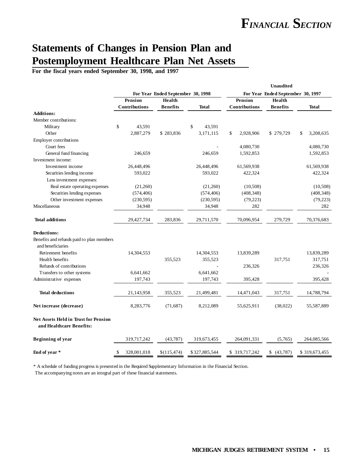### **Statements of Changes in Pension Plan and Postemployment Healthcare Plan Net Assets**

**For the fiscal years ended September 30, 1998, and 1997**

|                                                                         |                                   |                 |               |                 | <b>Unaudited</b> |                                   |  |
|-------------------------------------------------------------------------|-----------------------------------|-----------------|---------------|-----------------|------------------|-----------------------------------|--|
|                                                                         | For Year Ended September 30, 1998 |                 |               |                 |                  | For Year Ended September 30, 1997 |  |
|                                                                         | <b>Pension</b>                    | Health          |               | <b>Pension</b>  | Health           |                                   |  |
|                                                                         | Contributions                     | <b>Benefits</b> | <b>Total</b>  | Contributions   | <b>Benefits</b>  | <b>Total</b>                      |  |
| <b>Additions:</b>                                                       |                                   |                 |               |                 |                  |                                   |  |
| Member contributions:                                                   |                                   |                 |               |                 |                  |                                   |  |
| Military                                                                | \$<br>43,591                      |                 | \$<br>43,591  |                 |                  |                                   |  |
| Other                                                                   | 2,887,279                         | \$283,836       | 3,171,115     | \$<br>2,928,906 | \$279,729        | 3,208,635<br>\$                   |  |
| <b>Employer contributions</b>                                           |                                   |                 |               |                 |                  |                                   |  |
| Court fees                                                              |                                   |                 |               | 4,080,730       |                  | 4,080,730                         |  |
| General fund financing                                                  | 246,659                           |                 | 246,659       | 1,592,853       |                  | 1,592,853                         |  |
| Investment income:                                                      |                                   |                 |               |                 |                  |                                   |  |
| Investment income                                                       | 26,448,496                        |                 | 26,448,496    | 61,569,938      |                  | 61,569,938                        |  |
| Securities lending income                                               | 593,022                           |                 | 593,022       | 422,324         |                  | 422,324                           |  |
| Less investment expenses:                                               |                                   |                 |               |                 |                  |                                   |  |
| Real estate operating expenses                                          | (21,260)                          |                 | (21,260)      | (10,508)        |                  | (10,508)                          |  |
| Securities lending expenses                                             | (574, 406)                        |                 | (574, 406)    | (408, 348)      |                  | (408, 348)                        |  |
| Other investment expenses                                               | (230, 595)                        |                 | (230, 595)    | (79, 223)       |                  | (79, 223)                         |  |
| Miscellaneous                                                           | 34,948                            |                 | 34,948        | 282             |                  | 282                               |  |
| <b>Total additions</b>                                                  | 29,427,734                        | 283,836         | 29,711,570    | 70,096,954      | 279,729          | 70,376,683                        |  |
| Deductions:                                                             |                                   |                 |               |                 |                  |                                   |  |
| Benefits and refunds paid to plan members                               |                                   |                 |               |                 |                  |                                   |  |
| and beneficiaries                                                       |                                   |                 |               |                 |                  |                                   |  |
| Retirement benefits                                                     | 14,304,553                        |                 | 14,304,553    | 13,839,289      |                  | 13,839,289                        |  |
| Health benefits                                                         |                                   | 355,523         | 355,523       |                 | 317,751          | 317,751                           |  |
| Refunds of contributions                                                |                                   |                 |               | 236,326         |                  | 236,326                           |  |
| Transfers to other systems                                              | 6,641,662                         |                 | 6,641,662     |                 |                  |                                   |  |
| Administrative expenses                                                 | 197,743                           |                 | 197,743       | 395,428         |                  | 395,428                           |  |
| <b>Total deductions</b>                                                 | 21,143,958                        | 355,523         | 21,499,481    | 14,471,043      | 317,751          | 14,788,794                        |  |
| Net increase (decrease)                                                 | 8,283,776                         | (71,687)        | 8,212,089     | 55,625,911      | (38,022)         | 55,587,889                        |  |
| <b>Net Assets Held in Trust for Pension</b><br>and Healthcare Benefits: |                                   |                 |               |                 |                  |                                   |  |
| <b>Beginning of year</b>                                                | 319,717,242                       | (43, 787)       | 319,673,455   | 264,091,331     | (5,765)          | 264,085,566                       |  |
| End of year *                                                           | 328,001,018<br>\$                 | \$(115,474)     | \$327,885,544 | \$ 319,717,242  | \$(43,787)       | \$319,673,455                     |  |

\* A schedule of funding progress is presented in the Required Supplementary Information in the Financial Section.

The accompanying notes are an integral part of these financial statements.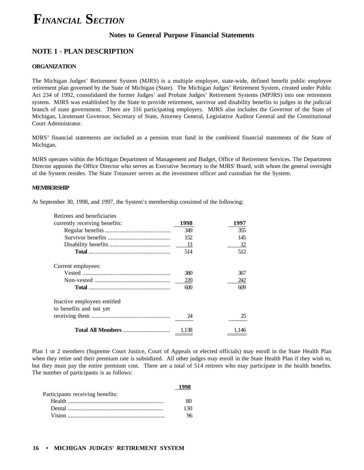### **Notes to General Purpose Financial Statements**

### **NOTE 1 - PLAN DESCRIPTION**

### **ORGANIZATION**

The Michigan Judges' Retirement System (MJRS) is a multiple employer, state-wide, defined benefit public employee retirement plan governed by the State of Michigan (State). The Michigan Judges' Retirement System, created under Public Act 234 of 1992, consolidated the former Judges' and Probate Judges' Retirement Systems (MPJRS) into one retirement system. MJRS was established by the State to provide retirement, survivor and disability benefits to judges in the judicial branch of state government. There are 316 participating employers. MJRS also includes the Governor of the State of Michigan, Lieutenant Governor, Secretary of State, Attorney General, Legislative Auditor General and the Constitutional Court Administrator.

MJRS' financial statements are included as a pension trust fund in the combined financial statements of the State of Michigan.

MJRS operates within the Michigan Department of Management and Budget, Office of Retirement Services. The Department Director appoints the Office Director who serves as Executive Secretary to the MJRS' Board, with whom the general oversight of the System resides. The State Treasurer serves as the investment officer and custodian for the System.

#### **MEMBERSHIP**

At September 30, 1998, and 1997, the System's membership consisted of the following:

| Retirees and beneficiaries                             |       |       |
|--------------------------------------------------------|-------|-------|
| currently receiving benefits:                          | 1998  | 1997  |
|                                                        | 349   | 355   |
|                                                        | 152   | 145   |
|                                                        | 13    | 12    |
|                                                        | 514   | 512   |
| Current employees:                                     |       |       |
|                                                        | 380   | 367   |
|                                                        | 220   | 242   |
|                                                        | 600   | 609   |
| Inactive employees entitled<br>to benefits and not yet |       |       |
|                                                        | 24    | 25    |
|                                                        | 1,138 | 1,146 |

Plan 1 or 2 members (Supreme Court Justice, Court of Appeals or elected officials) may enroll in the State Health Plan when they retire and their premium rate is subsidized. All other judges may enroll in the State Health Plan if they wish to, but they must pay the entire premium cost. There are a total of 514 retirees who may participate in the health benefits. The number of participants is as follows:

| Participants receiving benefits: |  |
|----------------------------------|--|
|                                  |  |
|                                  |  |
|                                  |  |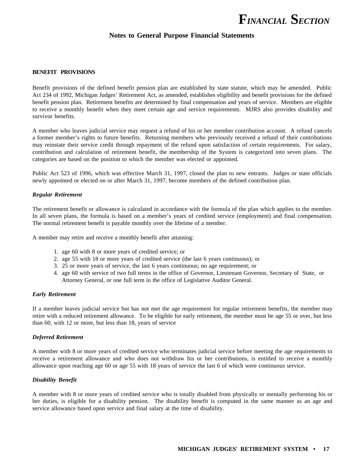### **Notes to General Purpose Financial Statements**

### **BENEFIT PROVISIONS**

Benefit provisions of the defined benefit pension plan are established by state statute, which may be amended. Public Act 234 of 1992, Michigan Judges' Retirement Act, as amended, establishes eligibility and benefit provisions for the defined benefit pension plan. Retirement benefits are determined by final compensation and years of service. Members are eligible to receive a monthly benefit when they meet certain age and service requirements. MJRS also provides disability and survivor benefits.

A member who leaves judicial service may request a refund of his or her member contribution account. A refund cancels a former member's rights to future benefits. Returning members who previously received a refund of their contributions may reinstate their service credit through repayment of the refund upon satisfaction of certain requirements. For salary, contribution and calculation of retirement benefit, the membership of the System is categorized into seven plans. The categories are based on the position to which the member was elected or appointed.

Public Act 523 of 1996, which was effective March 31, 1997, closed the plan to new entrants. Judges or state officials newly appointed or elected on or after March 31, 1997, become members of the defined contribution plan.

### *Regular Retirement*

The retirement benefit or allowance is calculated in accordance with the formula of the plan which applies to the member. In all seven plans, the formula is based on a member's years of credited service (employment) and final compensation. The normal retirement benefit is payable monthly over the lifetime of a member.

A member may retire and receive a monthly benefit after attaining:

- 1. age 60 with 8 or more years of credited service; or
- 2. age 55 with 18 or more years of credited service (the last 6 years continuous); or
- 3. 25 or more years of service, the last 6 years continuous; no age requirement; or
- 4. age 60 with service of two full terms in the office of Governor, Lieutenant Governor, Secretary of State, or Attorney General, or one full term in the office of Legislative Auditor General.

#### *Early Retirement*

If a member leaves judicial service but has not met the age requirement for regular retirement benefits, the member may retire with a reduced retirement allowance. To be eligible for early retirement, the member must be age 55 or over, but less than 60, with 12 or more, but less than 18, years of service

#### *Deferred Retirement*

A member with 8 or more years of credited service who terminates judicial service before meeting the age requirements to receive a retirement allowance and who does not withdraw his or her contributions, is entitled to receive a monthly allowance upon reaching age 60 or age 55 with 18 years of service the last 6 of which were continuous service.

#### *Disability Benefit*

A member with 8 or more years of credited service who is totally disabled from physically or mentally performing his or her duties, is eligible for a disability pension. The disability benefit is computed in the same manner as an age and service allowance based upon service and final salary at the time of disability.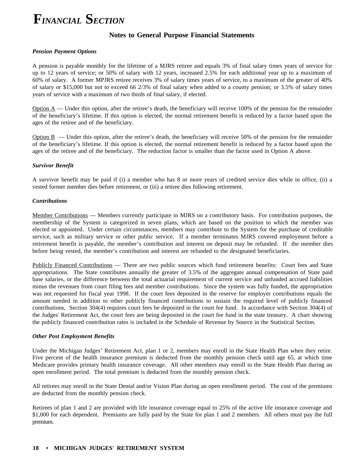### **Notes to General Purpose Financial Statements**

### *Pension Payment Options*

A pension is payable monthly for the lifetime of a MJRS retiree and equals 3% of final salary times years of service for up to 12 years of service; or 50% of salary with 12 years, increased 2.5% for each additional year up to a maximum of 60% of salary. A former MPJRS retiree receives 3% of salary times years of service, to a maximum of the greater of 40% of salary or \$15,000 but not to exceed 66 2/3% of final salary when added to a county pension; or 3.5% of salary times years of service with a maximum of two thirds of final salary, if elected.

Option A — Under this option, after the retiree's death, the beneficiary will receive 100% of the pension for the remainder of the beneficiary's lifetime. If this option is elected, the normal retirement benefit is reduced by a factor based upon the ages of the retiree and of the beneficiary.

 $Option B$  — Under this option, after the retiree's death, the beneficiary will receive 50% of the pension for the remainder of the beneficiary's lifetime. If this option is elected, the normal retirement benefit is reduced by a factor based upon the ages of the retiree and of the beneficiary. The reduction factor is smaller than the factor used in Option A above.

### *Survivor Benefit*

A survivor benefit may be paid if (i) a member who has 8 or more years of credited service dies while in office, (ii) a vested former member dies before retirement, or (iii) a retiree dies following retirement.

### *Contributions*

Member Contributions — Members currently participate in MJRS on a contributory basis. For contribution purposes, the membership of the System is categorized in seven plans, which are based on the position to which the member was elected or appointed. Under certain circumstances, members may contribute to the System for the purchase of creditable service, such as military service or other public service. If a member terminates MJRS covered employment before a retirement benefit is payable, the member's contribution and interest on deposit may be refunded. If the member dies before being vested, the member's contribution and interest are refunded to the designated beneficiaries.

Publicly Financed Contributions — There are two public sources which fund retirement benefits: Court fees and State appropriations. The State contributes annually the greater of 3.5% of the aggregate annual compensation of State paid base salaries, or the difference between the total actuarial requirement of current service and unfunded accrued liabilities minus the revenues from court filing fees and member contributions. Since the system was fully funded, the appropriation was not requested for fiscal year 1998. If the court fees deposited in the reserve for employer contributions equals the amount needed in addition to other publicly financed contributions to sustain the required level of publicly financed contributions, Section 304(4) requires court fees be deposited in the court fee fund. In accordance with Section 304(4) of the Judges' Retirement Act, the court fees are being deposited in the court fee fund in the state treasury. A chart showing the publicly financed contribution rates is included in the Schedule of Revenue by Source in the Statistical Section.

#### *Other Post Employment Benefits*

Under the Michigan Judges' Retirement Act, plan 1 or 2, members may enroll in the State Health Plan when they retire. Five percent of the health insurance premium is deducted from the monthly pension check until age 65, at which time Medicare provides primary health insurance coverage. All other members may enroll in the State Health Plan during an open enrollment period. The total premium is deducted from the monthly pension check.

All retirees may enroll in the State Dental and/or Vision Plan during an open enrollment period. The cost of the premiums are deducted from the monthly pension check.

Retirees of plan 1 and 2 are provided with life insurance coverage equal to 25% of the active life insurance coverage and \$1,000 for each dependent. Premiums are fully paid by the State for plan 1 and 2 members. All others must pay the full premium.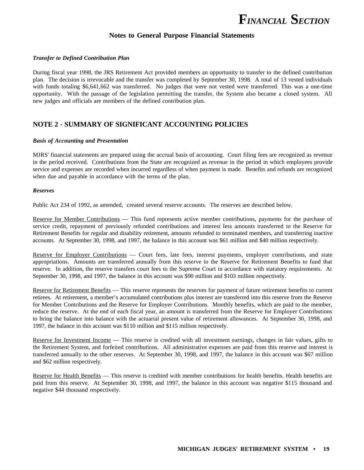### **Notes to General Purpose Financial Statements**

### *Transfer to Defined Contribution Plan*

During fiscal year 1998, the JRS Retirement Act provided members an opportunity to transfer to the defined contribution plan. The decision is irrevocable and the transfer was completed by September 30, 1998. A total of 13 vested individuals with funds totaling \$6,641,662 was transferred. No judges that were not vested were transferred. This was a one-time opportunity. With the passage of the legislation permitting the transfer, the System also became a closed system. All new judges and officials are members of the defined contribution plan.

### **NOTE 2 - SUMMARY OF SIGNIFICANT ACCOUNTING POLICIES**

### *Basis of Accounting and Presentation*

MJRS' financial statements are prepared using the accrual basis of accounting. Court filing fees are recognized as revenue in the period received. Contributions from the State are recognized as revenue in the period in which employees provide service and expenses are recorded when incurred regardless of when payment is made. Benefits and refunds are recognized when due and payable in accordance with the terms of the plan.

#### *Reserves*

Public Act 234 of 1992, as amended, created several reserve accounts. The reserves are described below.

Reserve for Member Contributions — This fund represents active member contributions, payments for the purchase of service credit, repayment of previously refunded contributions and interest less amounts transferred to the Reserve for Retirement Benefits for regular and disability retirement, amounts refunded to terminated members, and transferring inactive accounts. At September 30, 1998, and 1997, the balance in this account was \$61 million and \$40 million respectively.

Reserve for Employer Contributions — Court fees, late fees, interest payments, employer contributions, and state appropriations. Amounts are transferred annually from this reserve to the Reserve for Retirement Benefits to fund that reserve. In addition, the reserve transfers court fees to the Supreme Court in accordance with statutory requirements. At September 30, 1998, and 1997, the balance in this account was \$90 million and \$103 million respectively.

Reserve for Retirement Benefits — This reserve represents the reserves for payment of future retirement benefits to current retirees. At retirement, a member's accumulated contributions plus interest are transferred into this reserve from the Reserve for Member Contributions and the Reserve for Employer Contributions. Monthly benefits, which are paid to the member, reduce the reserve.At the end of each fiscal year, an amount is transferred from the Reserve for Employer Contributions to bring the balance into balance with the actuarial present value of retirement allowances. At September 30, 1998, and 1997, the balance in this account was \$110 million and \$115 million respectively.

Reserve for Investment Income - This reserve is credited with all investment earnings, changes in fair values, gifts to the Retirement System, and forfeited contributions. All administrative expenses are paid from this reserve and interest is transferred annually to the other reserves. At September 30, 1998, and 1997, the balance in this account was \$67 million and \$62 million respectively.

Reserve for Health Benefits — This reserve is credited with member contributions for health benefits. Health benefits are paid from this reserve. At September 30, 1998, and 1997, the balance in this account was negative \$115 thousand and negative \$44 thousand respectively.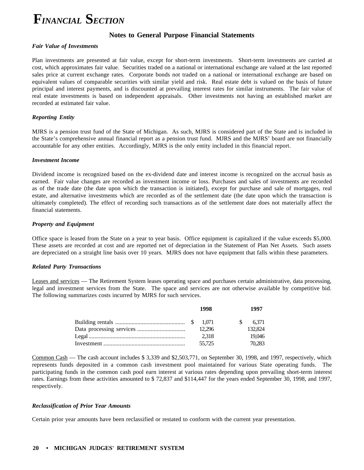### **Notes to General Purpose Financial Statements**

### *Fair Value of Investments*

Plan investments are presented at fair value, except for short-term investments. Short-term investments are carried at cost, which approximates fair value. Securities traded on a national or international exchange are valued at the last reported sales price at current exchange rates. Corporate bonds not traded on a national or international exchange are based on equivalent values of comparable securities with similar yield and risk. Real estate debt is valued on the basis of future principal and interest payments, and is discounted at prevailing interest rates for similar instruments. The fair value of real estate investments is based on independent appraisals. Other investments not having an established market are recorded at estimated fair value.

### *Reporting Entity*

MJRS is a pension trust fund of the State of Michigan. As such, MJRS is considered part of the State and is included in the State's comprehensive annual financial report as a pension trust fund. MJRS and the MJRS' board are not financially accountable for any other entities. Accordingly, MJRS is the only entity included in this financial report.

#### *Investment Income*

Dividend income is recognized based on the ex-dividend date and interest income is recognized on the accrual basis as earned. Fair value changes are recorded as investment income or loss. Purchases and sales of investments are recorded as of the trade date (the date upon which the transaction is initiated), except for purchase and sale of mortgages, real estate, and alternative investments which are recorded as of the settlement date (the date upon which the transaction is ultimately completed). The effect of recording such transactions as of the settlement date does not materially affect the financial statements.

### *Property and Equipment*

Office space is leased from the State on a year to year basis. Office equipment is capitalized if the value exceeds \$5,000. These assets are recorded at cost and are reported net of depreciation in the Statement of Plan Net Assets. Such assets are depreciated on a straight line basis over 10 years. MJRS does not have equipment that falls within these parameters.

#### *Related Party Transactions*

Leases and services — The Retirement System leases operating space and purchases certain administrative, data processing, legal and investment services from the State. The space and services are not otherwise available by competitive bid. The following summarizes costs incurred by MJRS for such services.

|  | 1998   | 1997    |
|--|--------|---------|
|  |        | 6.371   |
|  | 12.296 | 132,824 |
|  | 2.318  | 19.046  |
|  | 55.725 | 70.283  |

Common Cash — The cash account includes \$ 3,339 and \$2,503,771, on September 30, 1998, and 1997, respectively, which represents funds deposited in a common cash investment pool maintained for various State operating funds. The participating funds in the common cash pool earn interest at various rates depending upon prevailing short-term interest rates. Earnings from these activities amounted to \$ 72,837 and \$114,447 for the years ended September 30, 1998, and 1997, respectively.

#### *Reclassification of Prior Year Amounts*

Certain prior year amounts have been reclassified or restated to conform with the current year presentation.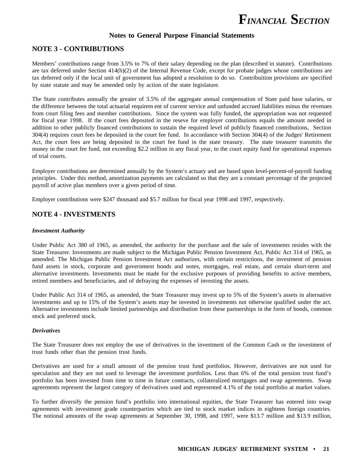

### **Notes to General Purpose Financial Statements**

### **NOTE 3 - CONTRIBUTIONS**

Members' contributions range from 3.5% to 7% of their salary depending on the plan (described in statute). Contributions are tax deferred under Section  $414(h)(2)$  of the Internal Revenue Code, except for probate judges whose contributions are tax deferred only if the local unit of government has adopted a resolution to do so. Contribuition provisions are specified by state statute and may be amended only by action of the state legislature.

The State contributes annually the greater of 3.5% of the aggregate annual compensation of State paid base salaries, or the difference between the total actuarial requirem ent of current service and unfunded accrued liabilities minus the revenues from court filing fees and member contributions. Since the system was fully funded, the appropriation was not requested for fiscal year 1998. If the court fees deposited in the reseve for employer contributions equals the amount needed in addition to other publicly financed contributions to sustain the required level of publicly financed contributions, Section 304(4) requires court fees be deposited in the court fee fund. In accordance with Section 304(4) of the Judges' Retirement Act, the court fees are being deposited in the court fee fund in the state treasury. The state treasurer transmits the money in the court fee fund, not exceeding \$2.2 million in any fiscal year, to the court equity fund for operational expenses of trial courts.

Employer contributions are determined annually by the System's actuary and are based upon level-percent-of-payroll funding principles. Under this method, amortization payments are calculated so that they are a constant percentage of the projected payroll of active plan members over a given period of time.

Employer contributions were \$247 thousand and \$5.7 million for fiscal year 1998 and 1997, respectively.

### **NOTE 4 - INVESTMENTS**

#### *Investment Authority*

Under Public Act 380 of 1965, as amended, the authority for the purchase and the sale of investments resides with the State Treasurer. Investments are made subject to the Michigan Public Pension Investment Act, Public Act 314 of 1965, as amended. The Michigan Public Pension Investment Act authorizes, with certain restrictions, the investment of pension fund assets in stock, corporate and government bonds and notes, mortgages, real estate, and certain short-term and alternative investments. Investments must be made for the exclusive purposes of providing benefits to active members, retired members and beneficiaries, and of defraying the expenses of investing the assets.

Under Public Act 314 of 1965, as amended, the State Treasurer may invest up to 5% of the System's assets in alternative investments and up to 15% of the System's assets may be invested in investments not otherwise qualified under the act. Alternative investments include limited partnerships and distribution from these partnerships in the form of bonds, common stock and preferred stock.

#### *Derivatives*

The State Treasurer does not employ the use of derivatives in the investment of the Common Cash or the investment of trust funds other than the pension trust funds.

Derivatives are used for a small amount of the pension trust fund portfolios. However, derivatives are not used for speculation and they are not used to leverage the investment portfolios. Less than 6% of the total pension trust fund's portfolio has been invested from time to time in future contracts, collateralized mortgages and swap agreements. Swap agreements represent the largest category of derivatives used and represented 4.1% of the total portfolio at market values.

To further diversify the pension fund's portfolio into international equities, the State Treasurer has entered into swap agreements with investment grade counterparties which are tied to stock market indices in eighteen foreign countries. The notional amounts of the swap agreements at September 30, 1998, and 1997, were \$13.7 million and \$13.9 million,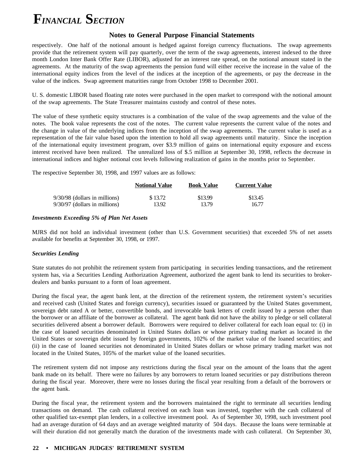### **Notes to General Purpose Financial Statements**

respectively. One half of the notional amount is hedged against foreign currency fluctuations. The swap agreements provide that the retirement system will pay quarterly, over the term of the swap agreements, interest indexed to the three month London Inter Bank Offer Rate (LIBOR), adjusted for an interest rate spread, on the notional amount stated in the agreements. At the maturity of the swap agreements the pension fund will either receive the increase in the value of the international equity indices from the level of the indices at the inception of the agreements, or pay the decrease in the value of the indices. Swap agreement maturities range from October 1998 to December 2001.

U. S. domestic LIBOR based floating rate notes were purchased in the open market to correspond with the notional amount of the swap agreements. The State Treasurer maintains custody and control of these notes.

The value of these synthetic equity structures is a combination of the value of the swap agreements and the value of the notes. The book value represents the cost of the notes. The current value represents the current value of the notes and the change in value of the underlying indices from the inception of the swap agreements. The current value is used as a representation of the fair value based upon the intention to hold all swap agreements until maturity. Since the inception of the international equity investment program, over \$3.9 million of gains on international equity exposure and excess interest received have been realized. The unrealized loss of \$.5 million at September 30, 1998, reflects the decrease in international indices and higher notional cost levels following realization of gains in the months prior to September.

The respective September 30, 1998, and 1997 values are as follows:

|                               | <b>Notional Value</b> | <b>Book Value</b> | <b>Current Value</b> |
|-------------------------------|-----------------------|-------------------|----------------------|
| 9/30/98 (dollars in millions) | \$13.72               | \$13.99           | \$13.45              |
| 9/30/97 (dollars in millions) | 13.92                 | 13.79             | 16.77                |

#### *Investments Exceeding 5% of Plan Net Assets*

MJRS did not hold an individual investment (other than U.S. Government securities) that exceeded 5% of net assets available for benefits at September 30, 1998, or 1997.

#### *Securities Lending*

State statutes do not prohibit the retirement system from participating in securities lending transactions, and the retirement system has, via a Securities Lending Authorization Agreement, authorized the agent bank to lend its securities to brokerdealers and banks pursuant to a form of loan agreement.

During the fiscal year, the agent bank lent, at the direction of the retirement system, the retirement system's securities and received cash (United States and foreign currency), securities issued or guaranteed by the United States government, sovereign debt rated A or better, convertible bonds, and irrevocable bank letters of credit issued by a person other than the borrower or an affiliate of the borrower as collateral. The agent bank did not have the ability to pledge or sell collateral securities delivered absent a borrower default. Borrowers were required to deliver collateral for each loan equal to: (i) in the case of loaned securities denominated in United States dollars or whose primary trading market as located in the United States or sovereign debt issued by foreign governments, 102% of the market value of the loaned securities; and (ii) in the case of loaned securities not denominated in United States dollars or whose primary trading market was not located in the United States, 105% of the market value of the loaned securities.

The retirement system did not impose any restrictions during the fiscal year on the amount of the loans that the agent bank made on its behalf. There were no failures by any borrowers to return loaned securities or pay distributions thereon during the fiscal year. Moreover, there were no losses during the fiscal year resulting from a default of the borrowers or the agent bank.

During the fiscal year, the retirement system and the borrowers maintained the right to terminate all securities lending transactions on demand. The cash collateral received on each loan was invested, together with the cash collateral of other qualified tax-exempt plan lenders, in a collective investment pool. As of September 30, 1998, such investment pool had an average duration of 64 days and an average weighted maturity of 504 days. Because the loans were terminable at will their duration did not generally match the duration of the investments made with cash collateral. On September 30,

### **22 • MICHIGAN JUDGES' RETIREMENT SYSTEM**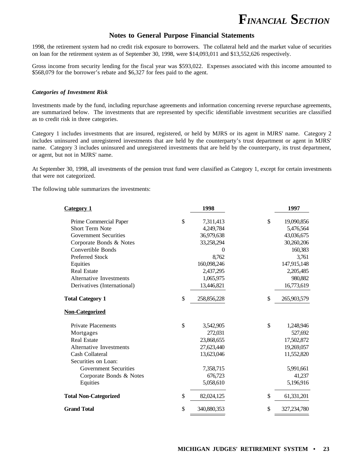### **Notes to General Purpose Financial Statements**

1998, the retirement system had no credit risk exposure to borrowers. The collateral held and the market value of securities on loan for the retirement system as of September 30, 1998, were \$14,093,011 and \$13,552,626 respectively.

Gross income from security lending for the fiscal year was \$593,022. Expenses associated with this income amounted to \$568,079 for the borrower's rebate and \$6,327 for fees paid to the agent.

#### *Categories of Investment Risk*

Investments made by the fund, including repurchase agreements and information concerning reverse repurchase agreements, are summarized below. The investments that are represented by specific identifiable investment securities are classified as to credit risk in three categories.

Category 1 includes investments that are insured, registered, or held by MJRS or its agent in MJRS' name. Category 2 includes uninsured and unregistered investments that are held by the counterparty's trust department or agent in MJRS' name. Category 3 includes uninsured and unregistered investments that are held by the counterparty, its trust department, or agent, but not in MJRS' name.

At September 30, 1998, all investments of the pension trust fund were classified as Category 1, except for certain investments that were not categorized.

The following table summarizes the investments:

| <b>Category 1</b>            | 1998              | 1997              |
|------------------------------|-------------------|-------------------|
| Prime Commercial Paper       | \$<br>7,311,413   | \$<br>19,090,856  |
| <b>Short Term Note</b>       | 4,249,784         | 5,476,564         |
| <b>Government Securities</b> | 36,979,638        | 43,036,675        |
| Corporate Bonds & Notes      | 33,258,294        | 30,260,206        |
| <b>Convertible Bonds</b>     | $\theta$          | 160,383           |
| Preferred Stock              | 8,762             | 3,761             |
| Equities                     | 160,098,246       | 147,915,148       |
| <b>Real Estate</b>           | 2,437,295         | 2,205,485         |
| Alternative Investments      | 1,065,975         | 980,882           |
| Derivatives (International)  | 13,446,821        | 16,773,619        |
| <b>Total Category 1</b>      | \$<br>258,856,228 | \$<br>265,903,579 |
| <b>Non-Categorized</b>       |                   |                   |
| <b>Private Placements</b>    | \$<br>3,542,905   | \$<br>1,248,946   |
| Mortgages                    | 272,031           | 527,692           |
| <b>Real Estate</b>           | 23,868,655        | 17,502,872        |
| Alternative Investments      | 27,623,440        | 19,269,057        |
| Cash Collateral              | 13,623,046        | 11,552,820        |
| Securities on Loan:          |                   |                   |
| <b>Government Securities</b> | 7,358,715         | 5,991,661         |
| Corporate Bonds & Notes      | 676,723           | 41,237            |
| Equities                     | 5,058,610         | 5,196,916         |
| <b>Total Non-Categorized</b> | \$<br>82,024,125  | \$<br>61,331,201  |
| <b>Grand Total</b>           | \$<br>340,880,353 | \$<br>327,234,780 |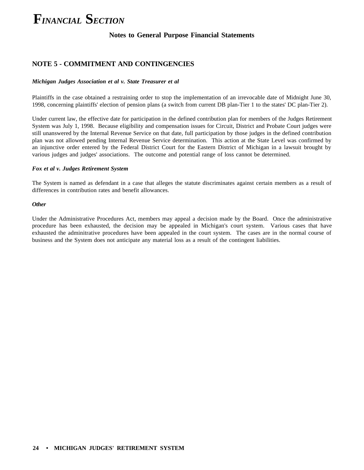### **Notes to General Purpose Financial Statements**

### **NOTE 5 - COMMITMENT AND CONTINGENCIES**

### *Michigan Judges Association et al v. State Treasurer et al*

Plaintiffs in the case obtained a restraining order to stop the implementation of an irrevocable date of Midnight June 30, 1998, concerning plaintiffs' election of pension plans (a switch from current DB plan-Tier 1 to the states' DC plan-Tier 2).

Under current law, the effective date for participation in the defined contribution plan for members of the Judges Retirement System was July 1, 1998. Because eligibility and compensation issues for Circuit, District and Probate Court judges were still unanswered by the Internal Revenue Service on that date, full participation by those judges in the defined contribution plan was not allowed pending Internal Revenue Service determination. This action at the State Level was confirmed by an injunctive order entered by the Federal District Court for the Eastern District of Michigan in a lawsuit brought by various judges and judges' associations. The outcome and potential range of loss cannot be determined.

#### *Fox et al v. Judges Retirement System*

The System is named as defendant in a case that alleges the statute discriminates against certain members as a result of differences in contribution rates and benefit allowances.

#### *Other*

Under the Administrative Procedures Act, members may appeal a decision made by the Board. Once the administrative procedure has been exhausted, the decision may be appealed in Michigan's court system. Various cases that have exhausted the adminitrative procedures have been appealed in the court system. The cases are in the normal course of business and the System does not anticipate any material loss as a result of the contingent liabilities.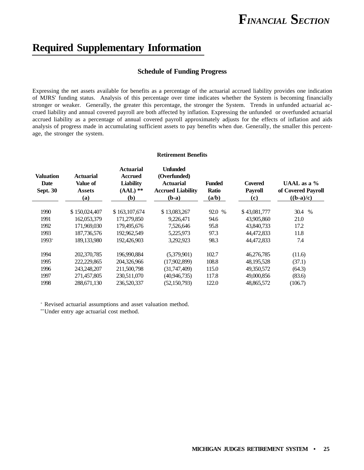### **Required Supplementary Information**

### **Schedule of Funding Progress**

Expressing the net assets available for benefits as a percentage of the actuarial accrued liability provides one indication of MJRS' funding status. Analysis of this percentage over time indicates whether the System is becoming financially stronger or weaker. Generally, the greater this percentage, the stronger the System. Trends in unfunded actuarial accrued liability and annual covered payroll are both affected by inflation. Expressing the unfunded or overfunded actuarial accrued liability as a percentage of annual covered payroll approximately adjusts for the effects of inflation and aids analysis of progress made in accumulating sufficient assets to pay benefits when due. Generally, the smaller this percentage, the stronger the system.

#### **Retirement Benefits**

| Valuation<br>Date<br><b>Sept. 30</b> | <b>Actuarial</b><br>Value of<br><b>Assets</b><br>(a) | <b>Actuarial</b><br><b>Accrued</b><br><b>Liability</b><br>$(AAL)$ **<br>( <b>b</b> ) | <b>Unfunded</b><br>(Overfunded)<br><b>Actuarial</b><br><b>Accrued Liability</b><br>$(b-a)$ | <b>Funded</b><br><b>Ratio</b><br>(a/b) | <b>Covered</b><br><b>Payroll</b><br>(c) | UAAL as a $\%$<br>of Covered Payroll<br>$((b-a)/c)$ |
|--------------------------------------|------------------------------------------------------|--------------------------------------------------------------------------------------|--------------------------------------------------------------------------------------------|----------------------------------------|-----------------------------------------|-----------------------------------------------------|
| 1990                                 | \$150,024,407                                        | \$163,107,674                                                                        | \$13,083,267                                                                               | 92.0 %                                 | \$43,081,777                            | 30.4 %                                              |
| 1991                                 | 162,053,379                                          | 171,279,850                                                                          | 9.226.471                                                                                  | 94.6                                   | 43,905,860                              | 21.0                                                |
| 1992                                 | 171,969,030                                          | 179,495,676                                                                          | 7,526,646                                                                                  | 95.8                                   | 43,840,733                              | 17.2                                                |
| 1993                                 | 187,736,576                                          | 192,962,549                                                                          | 5,225,973                                                                                  | 97.3                                   | 44,472,833                              | 11.8                                                |
| $1993+$                              | 189.133.980                                          | 192,426,903                                                                          | 3.292.923                                                                                  | 98.3                                   | 44.472.833                              | 7.4                                                 |
| 1994                                 | 202,370,785                                          | 196,990,884                                                                          | (5,379,901)                                                                                | 102.7                                  | 46,276,785                              | (11.6)                                              |
| 1995                                 | 222,229,865                                          | 204,326,966                                                                          | (17,902,899)                                                                               | 108.8                                  | 48, 195, 528                            | (37.1)                                              |
| 1996                                 | 243,248,207                                          | 211,500,798                                                                          | (31,747,409)                                                                               | 115.0                                  | 49,350,572                              | (64.3)                                              |
| 1997                                 | 271,457,805                                          | 230,511,070                                                                          | (40, 946, 735)                                                                             | 117.8                                  | 49,000,856                              | (83.6)                                              |
| 1998                                 | 288,671,130                                          | 236,520,337                                                                          | (52, 150, 793)                                                                             | 122.0                                  | 48,865,572                              | (106.7)                                             |

<sup>+</sup> Revised actuarial assumptions and asset valuation method.

\*\*Under entry age actuarial cost method.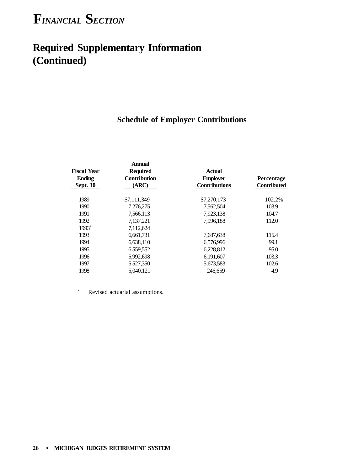### **Required Supplementary Information (Continued)**

### **Schedule of Employer Contributions**

|                    | Annual              |                      |                    |
|--------------------|---------------------|----------------------|--------------------|
| <b>Fiscal Year</b> | <b>Required</b>     | <b>Actual</b>        |                    |
| <b>Ending</b>      | <b>Contribution</b> | <b>Employer</b>      | Percentage         |
| <b>Sept. 30</b>    | (ARC)               | <b>Contributions</b> | <b>Contributed</b> |
| 1989               | \$7,111,349         | \$7,270,173          | 102.2%             |
| 1990               | 7,276,275           | 7,562,504            | 103.9              |
| 1991               | 7,566,113           | 7,923,138            | 104.7              |
| 1992               | 7,137,221           | 7,996,188            | 112.0              |
| 1993*              | 7,112,624           |                      |                    |
| 1993               | 6,661,731           | 7,687,638            | 115.4              |
| 1994               | 6,638,110           | 6,576,996            | 99.1               |
| 1995               | 6,559,552           | 6,228,812            | 95.0               |
| 1996               | 5,992,698           | 6,191,607            | 103.3              |
| 1997               | 5,527,350           | 5,673,583            | 102.6              |
| 1998               | 5,040,121           | 246,659              | 4.9                |

\* Revised actuarial assumptions.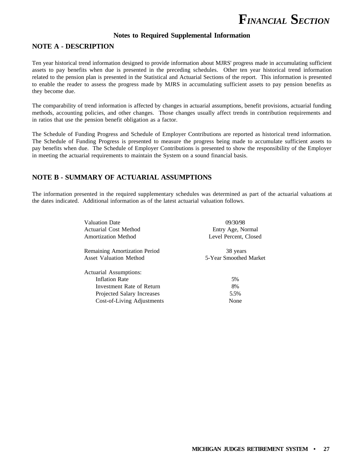

### **Notes to Required Supplemental Information**

### **NOTE A - DESCRIPTION**

Ten year historical trend information designed to provide information about MJRS' progress made in accumulating sufficient assets to pay benefits when due is presented in the preceding schedules. Other ten year historical trend information related to the pension plan is presented in the Statistical and Actuarial Sections of the report. This information is presented to enable the reader to assess the progress made by MJRS in accumulating sufficient assets to pay pension benefits as they become due.

The comparability of trend information is affected by changes in actuarial assumptions, benefit provisions, actuarial funding methods, accounting policies, and other changes. Those changes usually affect trends in contribution requirements and in ratios that use the pension benefit obligation as a factor.

The Schedule of Funding Progress and Schedule of Employer Contributions are reported as historical trend information. The Schedule of Funding Progress is presented to measure the progress being made to accumulate sufficient assets to pay benefits when due. The Schedule of Employer Contributions is presented to show the responsibility of the Employer in meeting the actuarial requirements to maintain the System on a sound financial basis.

### **NOTE B - SUMMARY OF ACTUARIAL ASSUMPTIONS**

The information presented in the required supplementary schedules was determined as part of the actuarial valuations at the dates indicated. Additional information as of the latest actuarial valuation follows.

| <b>Valuation Date</b>         | 09/30/98               |
|-------------------------------|------------------------|
| Actuarial Cost Method         | Entry Age, Normal      |
| <b>Amortization Method</b>    | Level Percent, Closed  |
| Remaining Amortization Period | 38 years               |
| <b>Asset Valuation Method</b> | 5-Year Smoothed Market |
| Actuarial Assumptions:        |                        |
| <b>Inflation Rate</b>         | .5%                    |
| Investment Rate of Return     | 8%                     |
| Projected Salary Increases    | 5.5%                   |
| Cost-of-Living Adjustments    | None                   |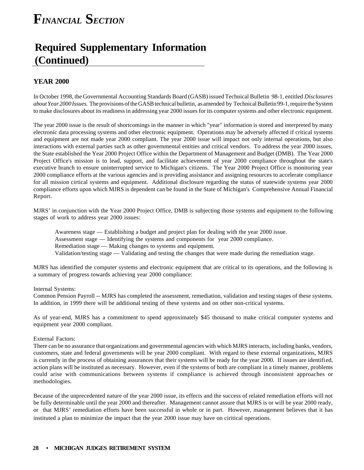### **Required Supplementary Information (Continued)**

### **YEAR 2000**

In October 1998, the Governmental Accounting Standards Board (GASB) issued Technical Bulletin 98-1, entitled *Disclosures about Year 2000 Issues.* The provisions of the GASB technical bulletin, as amended by Technical Bulletin 99-1, require the System to make disclosures about its readiness in addressing year 2000 issues for its computer systems and other electronic equipment.

The year 2000 issue is the result of shortcomings in the manner in which "year" information is stored and interpreted by many electronic data processing systems and other electronic equipment. Operations may be adversely affected if critical systems and equipment are not made year 2000 compliant. The year 2000 issue will impact not only internal operations, but also interactions with external parties such as other governmental entities and critical vendors. To address the year 2000 issues, the State established the Year 2000 Project Office within the Department of Management and Budget (DMB). The Year 2000 Project Office's mission is to lead, support, and facilitate achievement of year 2000 compliance throughout the state's executive branch to ensure uninterrupted service to Michigan's citizens. The Year 2000 Project Office is monitoring year 2000 compliance efforts at the various agencies and is providing assistance and assigning resources to accelerate compliance for all mission cirtical systems and equipment. Additional disclosure regarding the status of statewide systems year 2000 compliance efforts upon which MJRS is dependent can be found in the State of Michigan's Comprehensive Annual Financial Report.

MJRS' in conjunction with the Year 2000 Project Office, DMB is subjecting those systems and equipment to the following stages of work to address year 2000 issues:

Awareness stage — Establishing a budget and project plan for dealing with the year 2000 issue. Assessment stage — Identifying the systems and components for year 2000 compliance. Remediation stage — Making changes to systems and equipment. Validation/testing stage — Validating and testing the changes that were made during the remediation stage.

MJRS has identified the computer systems and electronic equipment that are critical to its operations, and the following is a summary of progress towards achieving year 2000 compliance:

#### Internal Systems:

Common Pension Payroll -- MJRS has completed the assessment, remediation, validation and testing stages of these systems. In addition, in 1999 there will be additional testing of these systems and on other non-critical systems.

As of year-end, MJRS has a commitment to spend approximately \$45 thousand to make critical computer systems and equipment year 2000 compliant.

#### External Factors:

There can be no assurance that organizations and governmental agencies with which MJRS interacts, including banks, vendors, customers, state and federal governments will be year 2000 compliant. With regard to these external organizations, MJRS is currently in the process of obtaining assurances that their systems will be ready for the year 2000. If issues are identified, action plans will be instituted as necessary. However, even if the systems of both are compliant in a timely manner, problems could arise with communications between systems if compliance is achieved through inconsistent approaches or methodologies.

Because of the unprecedented nature of the year 2000 issue, its effects and the success of related remediation efforts will not be fully determinable until the year 2000 and thereafter. Management cannot assure that MJRS is or will be year 2000 ready, or that MJRS' remediation efforts have been successful in whole or in part. However, management believes that it has instituted a plan to minimize the impact that the year 2000 issue may have on ciritical operations.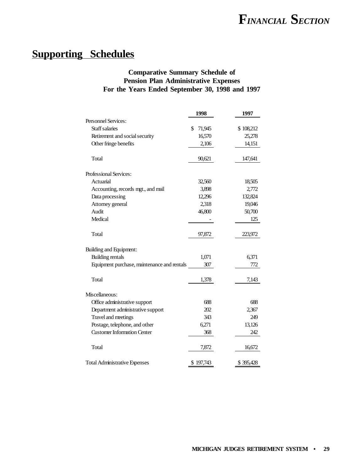### **Supporting Schedules**

### **Comparative Summary Schedule of Pension Plan Administrative Expenses For the Years Ended September 30, 1998 and 1997**

|                                             | 1998         | 1997      |
|---------------------------------------------|--------------|-----------|
| Personnel Services:                         |              |           |
| <b>Staff</b> salaries                       | \$<br>71,945 | \$108,212 |
| Retirement and social security              | 16,570       | 25,278    |
| Other fringe benefits                       | 2,106        | 14,151    |
| Total                                       | 90,621       | 147,641   |
| Professional Services:                      |              |           |
| Actuarial                                   | 32,560       | 18,505    |
| Accounting, records mgt., and mail          | 3,898        | 2,772     |
| Data processing                             | 12,296       | 132,824   |
| Attorney general                            | 2,318        | 19,046    |
| <b>Audit</b>                                | 46,800       | 50,700    |
| Medical                                     |              | 125       |
| Total                                       | 97,872       | 223,972   |
| Building and Equipment:                     |              |           |
| Building rentals                            | 1,071        | 6,371     |
| Equipment purchase, maintenance and rentals | 307          | 772       |
| Total                                       | 1,378        | 7,143     |
| Miscellaneous:                              |              |           |
| Office administrative support               | 688          | 688       |
| Department administrative support           | 202          | 2,367     |
| Travel and meetings                         | 343          | 249       |
| Postage, telephone, and other               | 6,271        | 13,126    |
| <b>Customer Information Center</b>          | 368          | 242       |
| Total                                       | 7,872        | 16,672    |
| <b>Total Administrative Expenses</b>        | \$197,743    | \$395,428 |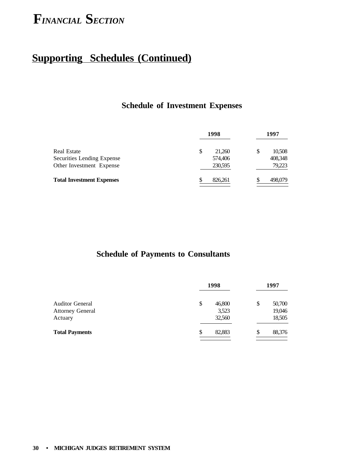## **Supporting Schedules (Continued)**

### **Schedule of Investment Expenses**

|                                  | 1998         | 1997         |
|----------------------------------|--------------|--------------|
| <b>Real Estate</b>               | \$<br>21.260 | 10,508<br>\$ |
| Securities Lending Expense       | 574,406      | 408,348      |
| Other Investment Expense         | 230,595      | 79,223       |
| <b>Total Investment Expenses</b> | 826.261<br>S | 498,079<br>J |

### **Schedule of Payments to Consultants**

|                         | 1998         | 1997         |
|-------------------------|--------------|--------------|
| <b>Auditor General</b>  | \$<br>46,800 | \$<br>50,700 |
| <b>Attorney General</b> | 3,523        | 19,046       |
| Actuary                 | 32,560       | 18,505       |
| <b>Total Payments</b>   | \$<br>82,883 | \$<br>88,376 |
|                         |              |              |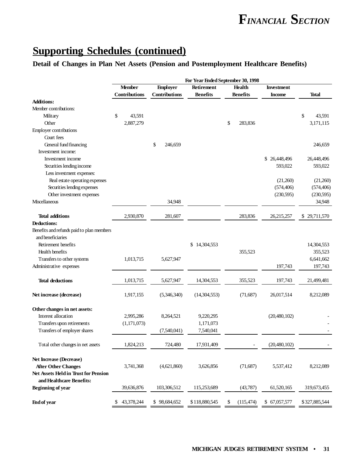### **Supporting Schedules (continued)**

### **Detail of Changes in Plan Net Assets (Pension and Postemployment Healthcare Benefits)**

|                                             | For Year Ended September 30, 1998 |                 |                 |                  |                   |               |
|---------------------------------------------|-----------------------------------|-----------------|-----------------|------------------|-------------------|---------------|
|                                             | <b>Member</b>                     | <b>Employer</b> | Retirement      | Health           | <b>Investment</b> |               |
|                                             | Contributions                     | Contributions   | <b>Benefits</b> | <b>Benefits</b>  | <b>Income</b>     | <b>Total</b>  |
| <b>Additions:</b>                           |                                   |                 |                 |                  |                   |               |
| Member contributions:                       |                                   |                 |                 |                  |                   |               |
| Military                                    | \$<br>43,591                      |                 |                 |                  |                   | \$<br>43,591  |
| Other                                       | 2,887,279                         |                 |                 | \$<br>283,836    |                   | 3,171,115     |
| Employer contributions                      |                                   |                 |                 |                  |                   |               |
| Court fees                                  |                                   |                 |                 |                  |                   |               |
| General fund financing                      |                                   | \$<br>246,659   |                 |                  |                   | 246,659       |
| Investment income:                          |                                   |                 |                 |                  |                   |               |
| Investment income                           |                                   |                 |                 |                  | \$26,448,496      | 26,448,496    |
| Securities lending income                   |                                   |                 |                 |                  | 593,022           | 593,022       |
| Less investment expenses:                   |                                   |                 |                 |                  |                   |               |
| Real estate operating expenses              |                                   |                 |                 |                  | (21,260)          | (21,260)      |
| Securities lending expenses                 |                                   |                 |                 |                  | (574, 406)        | (574, 406)    |
| Other investment expenses                   |                                   |                 |                 |                  | (230, 595)        | (230, 595)    |
| Miscellaneous                               |                                   | 34,948          |                 |                  |                   | 34,948        |
| <b>Total additions</b>                      | 2,930,870                         | 281,607         |                 | 283,836          | 26,215,257        | \$29,711,570  |
| <b>Deductions:</b>                          |                                   |                 |                 |                  |                   |               |
| Benefits and refunds paid to plan members   |                                   |                 |                 |                  |                   |               |
| and beneficiaries                           |                                   |                 |                 |                  |                   |               |
| Retirement benefits                         |                                   |                 | \$14,304,553    |                  |                   | 14,304,553    |
| Health benefits                             |                                   |                 |                 | 355,523          |                   | 355,523       |
| Transfers to other systems                  | 1,013,715                         | 5,627,947       |                 |                  |                   | 6,641,662     |
| Administrative expenses                     |                                   |                 |                 |                  | 197,743           | 197,743       |
|                                             |                                   |                 |                 |                  |                   |               |
| <b>Total deductions</b>                     | 1,013,715                         | 5,627,947       | 14,304,553      | 355,523          | 197,743           | 21,499,481    |
| Net increase (decrease)                     | 1,917,155                         | (5,346,340)     | (14, 304, 553)  | (71,687)         | 26,017,514        | 8,212,089     |
| Other changes in net assets:                |                                   |                 |                 |                  |                   |               |
| Interest allocation                         | 2,995,286                         | 8,264,521       | 9,220,295       |                  | (20, 480, 102)    |               |
| Transfers upon retirements                  | (1,171,073)                       |                 | 1,171,073       |                  |                   |               |
| Transfers of employer shares                |                                   | (7,540,041)     | 7,540,041       |                  |                   |               |
|                                             |                                   |                 |                 |                  |                   |               |
| Total other changes in net assets           | 1,824,213                         | 724,480         | 17,931,409      |                  | (20, 480, 102)    |               |
| Net Increase (Decrease)                     |                                   |                 |                 |                  |                   |               |
| <b>After Other Changes</b>                  | 3,741,368                         | (4,621,860)     | 3,626,856       | (71, 687)        | 5,537,412         | 8,212,089     |
| <b>Net Assets Held in Trust for Pension</b> |                                   |                 |                 |                  |                   |               |
| and Healthcare Benefits:                    |                                   |                 |                 |                  |                   |               |
| <b>Beginning of year</b>                    | 39,636,876                        | 103,306,512     | 115,253,689     | (43,787)         | 61,520,165        | 319,673,455   |
| <b>End of year</b>                          | 43,378,244<br>\$                  | \$98,684,652    | \$118,880,545   | (115, 474)<br>\$ | \$67,057,577      | \$327,885,544 |
|                                             |                                   |                 |                 |                  |                   |               |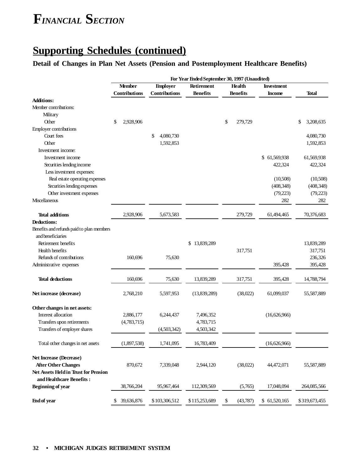### **Supporting Schedules (continued)**

### **Detail of Changes in Plan Net Assets (Pension and Postemployment Healthcare Benefits)**

|                                           | For Year Ended September 30, 1997 (Unaudited) |                 |                  |                 |          |                   |                 |
|-------------------------------------------|-----------------------------------------------|-----------------|------------------|-----------------|----------|-------------------|-----------------|
|                                           | <b>Member</b>                                 | <b>Employer</b> | Retirement       | <b>Health</b>   |          | <b>Investment</b> |                 |
|                                           | <b>Contributions</b>                          | Contributions   | <b>Benefits</b>  | <b>Benefits</b> |          | <b>Income</b>     | <b>Total</b>    |
| <b>Additions:</b>                         |                                               |                 |                  |                 |          |                   |                 |
| Member contributions:                     |                                               |                 |                  |                 |          |                   |                 |
| Military                                  |                                               |                 |                  |                 |          |                   |                 |
| Other                                     | \$<br>2,928,906                               |                 |                  | \$              | 279,729  |                   | \$<br>3,208,635 |
| <b>Employer contributions</b>             |                                               |                 |                  |                 |          |                   |                 |
| Court fees                                |                                               | \$<br>4,080,730 |                  |                 |          |                   | 4,080,730       |
| Other                                     |                                               | 1,592,853       |                  |                 |          |                   | 1,592,853       |
| Investment income:                        |                                               |                 |                  |                 |          |                   |                 |
| Investment income                         |                                               |                 |                  |                 |          | \$ 61,569,938     | 61,569,938      |
| Securities lending income                 |                                               |                 |                  |                 |          | 422,324           | 422,324         |
| Less investment expenses:                 |                                               |                 |                  |                 |          |                   |                 |
| Real estate operating expenses            |                                               |                 |                  |                 |          | (10,508)          | (10,508)        |
| Securities lending expenses               |                                               |                 |                  |                 |          | (408, 348)        | (408, 348)      |
| Other investment expenses                 |                                               |                 |                  |                 |          | (79, 223)         | (79, 223)       |
| Miscellaneous                             |                                               |                 |                  |                 |          | 282               | 282             |
| <b>Total additions</b>                    | 2,928,906                                     | 5,673,583       |                  |                 | 279,729  | 61,494,465        | 70,376,683      |
| <b>Deductions:</b>                        |                                               |                 |                  |                 |          |                   |                 |
| Benefits and refunds paid to plan members |                                               |                 |                  |                 |          |                   |                 |
| and beneficiaries                         |                                               |                 |                  |                 |          |                   |                 |
| Retirement benefits                       |                                               |                 | 13,839,289<br>\$ |                 |          |                   | 13,839,289      |
| Health benefits                           |                                               |                 |                  | 317,751         |          |                   | 317,751         |
| Refunds of contributions                  | 160,696                                       | 75,630          |                  |                 |          |                   | 236,326         |
| Administrative expenses                   |                                               |                 |                  |                 |          | 395,428           | 395,428         |
|                                           |                                               |                 |                  |                 |          |                   |                 |
| <b>Total deductions</b>                   | 160,696                                       | 75,630          | 13,839,289       |                 | 317,751  | 395,428           | 14,788,794      |
| Net increase (decrease)                   | 2,768,210                                     | 5,597,953       | (13,839,289)     |                 | (38,022) | 61,099,037        | 55,587,889      |
| Other changes in net assets:              |                                               |                 |                  |                 |          |                   |                 |
| Interest allocation                       | 2,886,177                                     | 6,244,437       | 7,496,352        |                 |          | (16,626,966)      |                 |
| Transfers upon retirements                | (4,783,715)                                   |                 | 4,783,715        |                 |          |                   |                 |
| Transfers of employer shares              |                                               | (4,503,342)     | 4,503,342        |                 |          |                   |                 |
| Total other changes in net assets         | (1,897,538)                                   | 1,741,095       | 16,783,409       |                 |          | (16,626,966)      |                 |
| Net Increase (Decrease)                   |                                               |                 |                  |                 |          |                   |                 |
| <b>After Other Changes</b>                | 870,672                                       | 7,339,048       | 2,944,120        |                 | (38,022) | 44,472,071        | 55,587,889      |
| Net Assets Held in Trust for Pension      |                                               |                 |                  |                 |          |                   |                 |
| and Healthcare Benefits:                  |                                               |                 |                  |                 |          |                   |                 |
| <b>Beginning of year</b>                  | 38,766,204                                    | 95,967,464      | 112,309,569      |                 | (5,765)  | 17,048,094        | 264,085,566     |
| <b>End of year</b>                        | 39,636,876<br>\$                              | \$103,306,512   | \$115,253,689    | \$              | (43,787) | \$ 61,520,165     | \$319,673,455   |
|                                           |                                               |                 |                  |                 |          |                   |                 |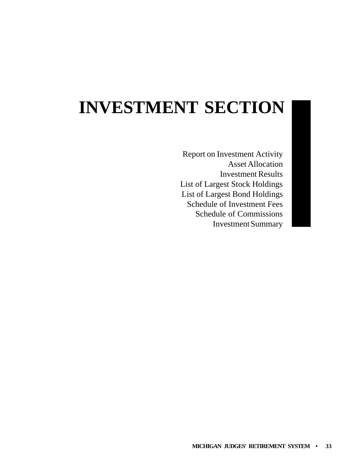Report on Investment Activity Asset Allocation Investment Results List of Largest Stock Holdings List of Largest Bond Holdings Schedule of Investment Fees Schedule of Commissions Investment Summary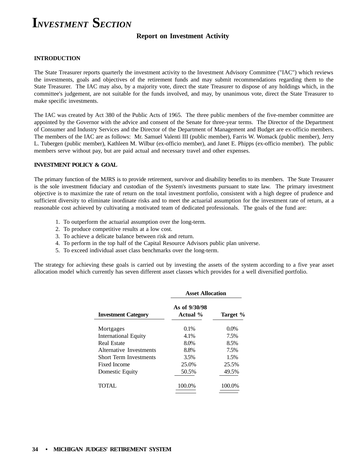### **Report on Investment Activity**

### **INTRODUCTION**

The State Treasurer reports quarterly the investment activity to the Investment Advisory Committee ("IAC") which reviews the investments, goals and objectives of the retirement funds and may submit recommendations regarding them to the State Treasurer. The IAC may also, by a majority vote, direct the state Treasurer to dispose of any holdings which, in the committee's judgement, are not suitable for the funds involved, and may, by unanimous vote, direct the State Treasurer to make specific investments.

The IAC was created by Act 380 of the Public Acts of 1965. The three public members of the five-member committee are appointed by the Governor with the advice and consent of the Senate for three-year terms. The Director of the Department of Consumer and Industry Services and the Director of the Department of Management and Budget are ex-officio members. The members of the IAC are as follows: Mr. Samuel Valenti III (public member), Farris W. Womack (public member), Jerry L. Tubergen (public member), Kathleen M. Wilbur (ex-officio member), and Janet E. Phipps (ex-officio member). The public members serve without pay, but are paid actual and necessary travel and other expenses.

### **INVESTMENT POLICY & GOAL**

The primary function of the MJRS is to provide retirement, survivor and disability benefits to its members. The State Treasurer is the sole investment fiduciary and custodian of the System's investments pursuant to state law. The primary investment objective is to maximize the rate of return on the total investment portfolio, consistent with a high degree of prudence and sufficient diversity to eliminate inordinate risks and to meet the actuarial assumption for the investment rate of return, at a reasonable cost achieved by cultivating a motivated team of dedicated professionals. The goals of the fund are:

- 1. To outperform the actuarial assumption over the long-term.
- 2. To produce competitive results at a low cost.
- 3. To achieve a delicate balance between risk and return.
- 4. To perform in the top half of the Capital Resource Advisors public plan universe.
- 5. To exceed individual asset class benchmarks over the long-term.

The strategy for achieving these goals is carried out by investing the assets of the system according to a five year asset allocation model which currently has seven different asset classes which provides for a well diversified portfolio.

|                               | <b>Asset Allocation</b>   |          |  |  |  |
|-------------------------------|---------------------------|----------|--|--|--|
| <b>Investment Category</b>    | As of 9/30/98<br>Actual % | Target % |  |  |  |
| Mortgages                     | $0.1\%$                   | $0.0\%$  |  |  |  |
| International Equity          | 4.1%                      | 7.5%     |  |  |  |
| <b>Real Estate</b>            | 8.0%                      | 8.5%     |  |  |  |
| Alternative Investments       | 8.8%                      | 7.5%     |  |  |  |
| <b>Short Term Investments</b> | 3.5%                      | 1.5%     |  |  |  |
| Fixed Income                  | 25.0%                     | 25.5%    |  |  |  |
| Domestic Equity               | 50.5%                     | 49.5%    |  |  |  |
| TOTAL.                        | 100.0%                    | 100.0%   |  |  |  |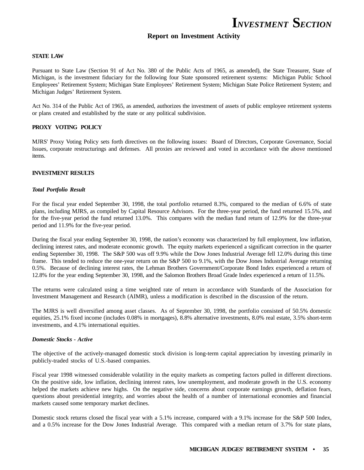### **Report on Investment Activity**

#### **STATE LAW**

Pursuant to State Law (Section 91 of Act No. 380 of the Public Acts of 1965, as amended), the State Treasurer, State of Michigan, is the investment fiduciary for the following four State sponsored retirement systems: Michigan Public School Employees' Retirement System; Michigan State Employees' Retirement System; Michigan State Police Retirement System; and Michigan Judges' Retirement System.

Act No. 314 of the Public Act of 1965, as amended, authorizes the investment of assets of public employee retirement systems or plans created and established by the state or any political subdivision.

### **PROXY VOTING POLICY**

MJRS' Proxy Voting Policy sets forth directives on the following issues: Board of Directors, Corporate Governance, Social Issues, corporate restructurings and defenses. All proxies are reviewed and voted in accordance with the above mentioned items.

#### **INVESTMENT RESULTS**

#### *Total Portfolio Result*

For the fiscal year ended September 30, 1998, the total portfolio returned 8.3%, compared to the median of 6.6% of state plans, including MJRS, as compiled by Capital Resource Advisors. For the three-year period, the fund returned 15.5%, and for the five-year period the fund returned 13.0%. This compares with the median fund return of 12.9% for the three-year period and 11.9% for the five-year period.

During the fiscal year ending September 30, 1998, the nation's economy was characterized by full employment, low inflation, declining interest rates, and moderate economic growth. The equity markets experienced a significant correction in the quarter ending September 30, 1998. The S&P 500 was off 9.9% while the Dow Jones Industrial Average fell 12.0% during this time frame. This tended to reduce the one-year return on the S&P 500 to 9.1%, with the Dow Jones Industrial Average returning 0.5%. Because of declining interest rates, the Lehman Brothers Government/Corporate Bond Index experienced a return of 12.8% for the year ending September 30, 1998, and the Salomon Brothers Broad Grade Index experienced a return of 11.5%.

The returns were calculated using a time weighted rate of return in accordance with Standards of the Association for Investment Management and Research (AIMR), unless a modification is described in the discussion of the return.

The MJRS is well diversified among asset classes. As of September 30, 1998, the portfolio consisted of 50.5% domestic equities, 25.1% fixed income (includes 0.08% in mortgages), 8.8% alternative investments, 8.0% real estate, 3.5% short-term investments, and 4.1% international equities.

#### *Domestic Stocks - Active*

The objective of the actively-managed domestic stock division is long-term capital appreciation by investing primarily in publicly-traded stocks of U.S.-based companies.

Fiscal year 1998 witnessed considerable volatility in the equity markets as competing factors pulled in different directions. On the positive side, low inflation, declining interest rates, low unemployment, and moderate growth in the U.S. economy helped the markets achieve new highs. On the negative side, concerns about corporate earnings growth, deflation fears, questions about presidential integrity, and worries about the health of a number of international economies and financial markets caused some temporary market declines.

Domestic stock returns closed the fiscal year with a 5.1% increase, compared with a 9.1% increase for the S&P 500 Index, and a 0.5% increase for the Dow Jones Industrial Average. This compared with a median return of 3.7% for state plans,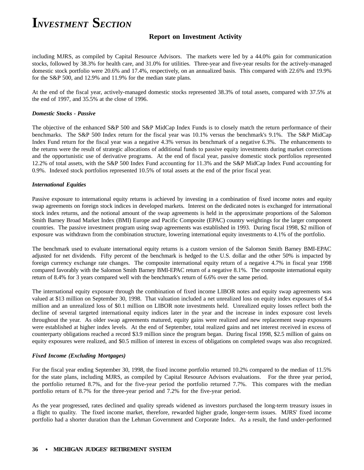### **Report on Investment Activity**

including MJRS, as compiled by Capital Resource Advisors. The markets were led by a 44.0% gain for communication stocks, followed by 38.3% for health care, and 31.0% for utilities. Three-year and five-year results for the actively-managed domestic stock portfolio were 20.6% and 17.4%, respectively, on an annualized basis. This compared with 22.6% and 19.9% for the S&P 500, and 12.9% and 11.9% for the median state plans.

At the end of the fiscal year, actively-managed domestic stocks represented 38.3% of total assets, compared with 37.5% at the end of 1997, and 35.5% at the close of 1996.

### *Domestic Stocks - Passive*

The objective of the enhanced S&P 500 and S&P MidCap Index Funds is to closely match the return performance of their benchmarks. The S&P 500 Index return for the fiscal year was 10.1% versus the benchmark's 9.1%. The S&P MidCap Index Fund return for the fiscal year was a negative 4.3% versus its benchmark of a negative 6.3%. The enhancements to the returns were the result of strategic allocations of additional funds to passive equity investments during market corrections and the opportunistic use of derivative programs. At the end of fiscal year, passive domestic stock portfolios represented 12.2% of total assets, with the S&P 500 Index Fund accounting for 11.3% and the S&P MidCap Index Fund accounting for 0.9%. Indexed stock portfolios represented 10.5% of total assets at the end of the prior fiscal year.

### *International Equities*

Passive exposure to international equity returns is achieved by investing in a combination of fixed income notes and equity swap agreements on foreign stock indices in developed markets. Interest on the dedicated notes is exchanged for international stock index returns, and the notional amount of the swap agreements is held in the approximate proportions of the Salomon Smith Barney Broad Market Index (BMI) Europe and Pacific Composite (EPAC) country weightings for the larger component countries. The passive investment program using swap agreements was established in 1993. During fiscal 1998, \$2 million of exposure was withdrawn from the combination structure, lowering international equity investments to 4.1% of the portfolio.

The benchmark used to evaluate international equity returns is a custom version of the Salomon Smith Barney BMI-EPAC adjusted for net dividends. Fifty percent of the benchmark is hedged to the U.S. dollar and the other 50% is impacted by foreign currency exchange rate changes. The composite international equity return of a negative 4.7% in fiscal year 1998 compared favorably with the Salomon Smith Barney BMI-EPAC return of a negative 8.1%. The composite international equity return of 8.4% for 3 years compared well with the benchmark's return of 6.6% over the same period.

The international equity exposure through the combination of fixed income LIBOR notes and equity swap agreements was valued at \$13 million on September 30, 1998. That valuation included a net unrealized loss on equity index exposures of \$.4 million and an unrealized loss of \$0.1 million on LIBOR note investments held. Unrealized equity losses reflect both the decline of several targeted international equity indices later in the year and the increase in index exposure cost levels throughout the year. As older swap agreements matured, equity gains were realized and new replacement swap exposures were established at higher index levels. At the end of September, total realized gains and net interest received in excess of counterparty obligations reached a record \$3.9 million since the program began. During fiscal 1998, \$2.5 million of gains on equity exposures were realized, and \$0.5 million of interest in excess of obligations on completed swaps was also recognized.

#### *Fixed Income (Excluding Mortgages)*

For the fiscal year ending September 30, 1998, the fixed income portfolio returned 10.2% compared to the median of 11.5% for the state plans, including MJRS, as compiled by Capital Resource Advisors evaluations. For the three year period, the portfolio returned 8.7%, and for the five-year period the portfolio returned 7.7%. This compares with the median portfolio return of 8.7% for the three-year period and 7.2% for the five-year period.

As the year progressed, rates declined and quality spreads widened as investors purchased the long-term treasury issues in a flight to quality. The fixed income market, therefore, rewarded higher grade, longer-term issues. MJRS' fixed income portfolio had a shorter duration than the Lehman Government and Corporate Index. As a result, the fund under-performed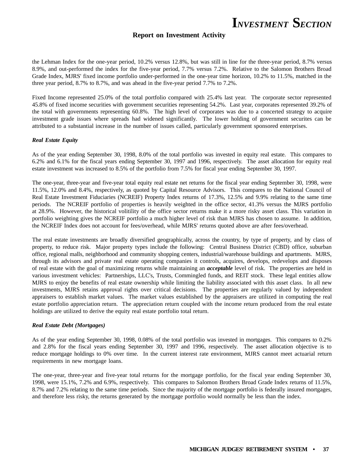### **Report on Investment Activity**

the Lehman Index for the one-year period, 10.2% versus 12.8%, but was still in line for the three-year period, 8.7% versus 8.9%, and out-performed the index for the five-year period, 7.7% versus 7.2%. Relative to the Salomon Brothers Broad Grade Index, MJRS' fixed income portfolio under-performed in the one-year time horizon, 10.2% to 11.5%, matched in the three year period, 8.7% to 8.7%, and was ahead in the five-year period 7.7% to 7.2%.

Fixed Income represented 25.0% of the total portfolio compared with 25.4% last year. The corporate sector represented 45.8% of fixed income securities with government securities representing 54.2%. Last year, corporates represented 39.2% of the total with governments representing 60.8%. The high level of corporates was due to a concerted strategy to acquire investment grade issues where spreads had widened significantly. The lower holding of government securites can be attributed to a substantial increase in the number of issues called, particularly government sponsored enterprises.

#### *Real Estate Equity*

As of the year ending September 30, 1998, 8.0% of the total portfolio was invested in equity real estate. This compares to 6.2% and 6.1% for the fiscal years ending September 30, 1997 and 1996, respectively. The asset allocation for equity real estate investment was increased to 8.5% of the portfolio from 7.5% for fiscal year ending September 30, 1997.

The one-year, three-year and five-year total equity real estate net returns for the fiscal year ending September 30, 1998, were 11.5%, 12.0% and 8.4%, respectively, as quoted by Capital Resource Advisors. This compares to the National Council of Real Estate Investment Fiduciaries (NCREIF) Property Index returns of 17.3%, 12.5% and 9.9% relating to the same time periods. The NCREIF portfolio of properties is heavily weighted in the office sector, 41.3% versus the MJRS portfolio at 28.9%. However, the historical volitility of the office sector returns make it a more risky asset class. This variation in portfolio weighting gives the NCREIF portfolio a much higher level of risk than MJRS has chosen to assume. In addition, the NCREIF Index does not account for fees/overhead, while MJRS' returns quoted above are after fees/overhead.

The real estate investments are broadly diversified geographically, across the country, by type of property, and by class of property, to reduce risk. Major property types include the following: Central Business District (CBD) office, suburban office, regional malls, neighborhood and community shopping centers, industrial/warehouse buildings and apartments. MJRS, through its advisors and private real estate operating companies it controls, acquires, develops, redevelops and disposes of real estate with the goal of maximizing returns while maintaining an *acceptable* level of risk. The properties are held in various investment vehicles: Partnerships, LLC's, Trusts, Commingled funds, and REIT stock. These legal entities allow MJRS to enjoy the benefits of real estate ownership while limiting the liability associated with this asset class. In all new investments, MJRS retains approval rights over critical decisions. The properties are regularly valued by independent appraisers to establish market values. The market values established by the appraisers are utilized in computing the real estate portfolio appreciation return. The appreciation return coupled with the income return produced from the real estate holdings are utilized to derive the equity real estate portfolio total return.

#### *Real Estate Debt (Mortgages)*

As of the year ending September 30, 1998, 0.08% of the total portfolio was invested in mortgages. This compares to 0.2% and 2.8% for the fiscal years ending September 30, 1997 and 1996, respectively. The asset allocation objective is to reduce mortgage holdings to 0% over time. In the current interest rate environment, MJRS cannot meet actuarial return requirements in new mortgage loans.

The one-year, three-year and five-year total returns for the mortgage portfolio, for the fiscal year ending September 30, 1998, were 15.1%, 7.2% and 6.9%, respectively. This compares to Salomon Brothers Broad Grade Index returns of 11.5%, 8.7% and 7.2% relating to the same time periods. Since the majority of the mortgage portfolio is federally insured mortgages, and therefore less risky, the returns generated by the mortgage portfolio would normally be less than the index.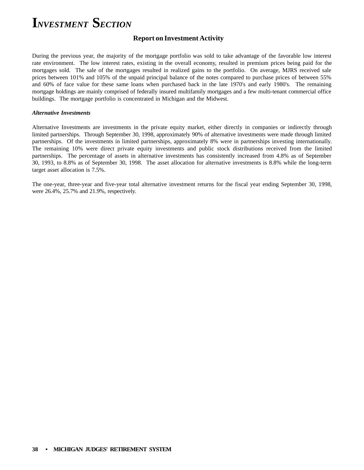### **Report on Investment Activity**

During the previous year, the majority of the mortgage portfolio was sold to take advantage of the favorable low interest rate environment. The low interest rates, existing in the overall economy, resulted in premium prices being paid for the mortgages sold. The sale of the mortgages resulted in realized gains to the portfolio. On average, MJRS received sale prices between 101% and 105% of the unpaid principal balance of the notes compared to purchase prices of between 55% and 60% of face value for these same loans when purchased back in the late 1970's and early 1980's. The remaining mortgage holdings are mainly comprised of federally insured multifamily mortgages and a few multi-tenant commercial office buildings. The mortgage portfolio is concentrated in Michigan and the Midwest.

#### *Alternative Investments*

Alternative Investments are investments in the private equity market, either directly in companies or indirectly through limited partnerships. Through September 30, 1998, approximately 90% of alternative investments were made through limited partnerships. Of the investments in limited partnerships, approximately 8% were in partnerships investing internationally. The remaining 10% were direct private equity investments and public stock distributions received from the limited partnerships. The percentage of assets in alternative investments has consistently increased from 4.8% as of September 30, 1993, to 8.8% as of September 30, 1998. The asset allocation for alternative investments is 8.8% while the long-term target asset allocation is 7.5%.

The one-year, three-year and five-year total alternative investment returns for the fiscal year ending September 30, 1998, were 26.4%, 25.7% and 21.9%, respectively.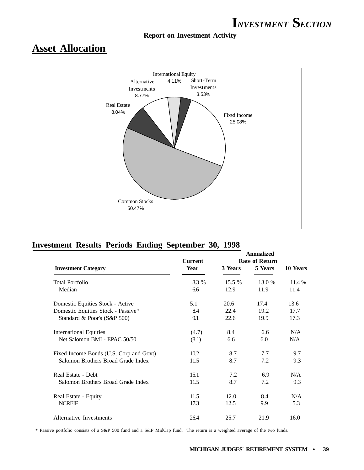### **Report on Investment Activity**

### **Asset Allocation**



### **Investment Results Periods Ending September 30, 1998**

|                                         | <b>Current</b> | <b>Annualized</b><br><b>Rate of Return</b> |         |          |  |
|-----------------------------------------|----------------|--------------------------------------------|---------|----------|--|
| <b>Investment Category</b>              | Year           | 3 Years                                    | 5 Years | 10 Years |  |
| <b>Total Portfolio</b>                  | 8.3 %          | 15.5 %                                     | 13.0 %  | 11.4 %   |  |
| Median                                  | 6.6            | 12.9                                       | 11.9    | 11.4     |  |
| Domestic Equities Stock - Active        | 5.1            | 20.6                                       | 17.4    | 13.6     |  |
| Domestic Equities Stock - Passive*      | 8.4            | 22.4                                       | 19.2    | 17.7     |  |
| Standard & Poor's (S&P 500)             | 9.1            | 22.6                                       | 19.9    | 17.3     |  |
| <b>International Equities</b>           | (4.7)          | 8.4                                        | 6.6     | N/A      |  |
| Net Salomon BMI - EPAC 50/50            | (8.1)          | 6.6                                        | 6.0     | N/A      |  |
| Fixed Income Bonds (U.S. Corp and Govt) | 10.2           | 8.7                                        | 7.7     | 9.7      |  |
| Salomon Brothers Broad Grade Index      | 11.5           | 8.7                                        | 7.2     | 9.3      |  |
| Real Estate - Debt                      | 15.1           | 7.2                                        | 6.9     | N/A      |  |
| Salomon Brothers Broad Grade Index      | 11.5           | 8.7                                        | 7.2     | 9.3      |  |
| Real Estate - Equity                    | 11.5           | 12.0                                       | 8.4     | N/A      |  |
| <b>NCREIF</b>                           | 17.3           | 12.5                                       | 9.9     | 5.3      |  |
| Alternative Investments                 | 26.4           | 25.7                                       | 21.9    | 16.0     |  |

\* Passive portfolio consists of a S&P 500 fund and a S&P MidCap fund. The return is a weighted average of the two funds.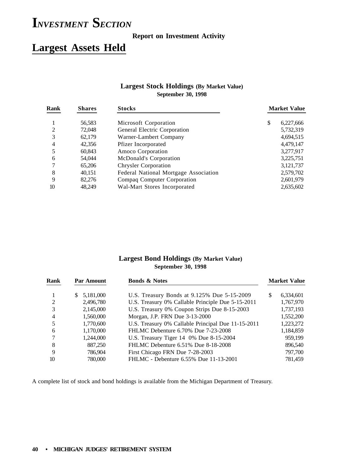### **Report on Investment Activity**

### **Largest Assets Held**

### **Largest Stock Holdings (By Market Value) September 30, 1998**

| Rank | <b>Shares</b> | <b>Stocks</b>                         |   | <b>Market Value</b> |
|------|---------------|---------------------------------------|---|---------------------|
|      | 56,583        | Microsoft Corporation                 | S | 6,227,666           |
|      | 72,048        | General Electric Corporation          |   | 5,732,319           |
|      | 62,179        | Warner-Lambert Company                |   | 4,694,515           |
| 4    | 42,356        | Pfizer Incorporated                   |   | 4,479,147           |
|      | 60,843        | Amoco Corporation                     |   | 3,277,917           |
| 6    | 54,044        | McDonald's Corporation                |   | 3,225,751           |
|      | 65,206        | <b>Chrysler Corporation</b>           |   | 3,121,737           |
| 8    | 40,151        | Federal National Mortgage Association |   | 2,579,702           |
| 9    | 82,276        | Compaq Computer Corporation           |   | 2,601,979           |
| 10   | 48,249        | Wal-Mart Stores Incorporated          |   | 2,635,602           |
|      |               |                                       |   |                     |

### **Largest Bond Holdings (By Market Value) September 30, 1998**

| Rank | <b>Par Amount</b><br><b>Bonds &amp; Notes</b> |                                                    |   | <b>Market Value</b> |
|------|-----------------------------------------------|----------------------------------------------------|---|---------------------|
|      | 5,181,000                                     | U.S. Treasury Bonds at 9.125% Due 5-15-2009        | S | 6,334,601           |
| 2    | 2,496,780                                     | U.S. Treasury 0% Callable Principle Due 5-15-2011  |   | 1,767,970           |
| 3    | 2,145,000                                     | U.S. Treasury 0% Coupon Strips Due 8-15-2003       |   | 1,737,193           |
| 4    | 1,560,000                                     | Morgan, J.P. FRN Due 3-13-2000                     |   | 1,552,200           |
| 5    | 1,770,600                                     | U.S. Treasury 0% Callable Principal Due 11-15-2011 |   | 1,223,272           |
| 6    | 1,170,000                                     | FHLMC Debenture 6.70% Due 7-23-2008                |   | 1,184,859           |
| 7    | 1,244,000                                     | U.S. Treasury Tiger $14\,0\%$ Due $8-15-2004$      |   | 959,199             |
| 8    | 887,250                                       | FHLMC Debenture 6.51% Due 8-18-2008                |   | 896,540             |
| 9    | 786,904                                       | First Chicago FRN Due 7-28-2003                    |   | 797,700             |
| 10   | 780,000                                       | FHLMC - Debenture 6.55% Due 11-13-2001             |   | 781.459             |

A complete list of stock and bond holdings is available from the Michigan Department of Treasury.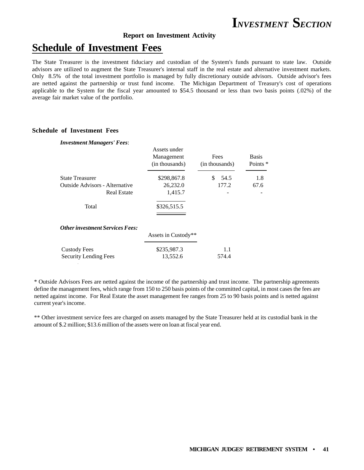### **Report on Investment Activity**

### **Schedule of Investment Fees**

The State Treasurer is the investment fiduciary and custodian of the System's funds pursuant to state law. Outside advisors are utilized to augment the State Treasurer's internal staff in the real estate and alternative investment markets. Only 8.5% of the total investment portfolio is managed by fully discretionary outside advisors. Outside advisor's fees are netted against the partnership or trust fund income. The Michigan Department of Treasury's cost of operations applicable to the System for the fiscal year amounted to \$54.5 thousand or less than two basis points (.02%) of the average fair market value of the portfolio.

### **Schedule of Investment Fees**

#### *Investment Managers' Fees*:

|                                        | Assets under<br>Management<br>(in thousands) | Fees<br>(in thousands) | <b>Basis</b><br>Points <sup>*</sup> |
|----------------------------------------|----------------------------------------------|------------------------|-------------------------------------|
| <b>State Treasurer</b>                 | \$298,867.8                                  | \$.<br>54.5            | 1.8                                 |
| <b>Outside Advisors - Alternative</b>  | 26,232.0                                     | 177.2                  | 67.6                                |
| <b>Real Estate</b>                     | 1,415.7                                      |                        |                                     |
| Total                                  | \$326,515.5                                  |                        |                                     |
| <b>Other investment Services Fees:</b> | Assets in Custody**                          |                        |                                     |
| <b>Custody Fees</b>                    | \$235,987.3                                  | 1.1                    |                                     |
| Security Lending Fees                  | 13,552.6                                     | 574.4                  |                                     |

\* Outside Advisors Fees are netted against the income of the partnership and trust income. The partnership agreements define the management fees, which range from 150 to 250 basis points of the committed capital, in most cases the fees are netted against income. For Real Estate the asset management fee ranges from 25 to 90 basis points and is netted against current year's income.

\*\* Other investment service fees are charged on assets managed by the State Treasurer held at its custodial bank in the amount of \$.2 million; \$13.6 million of the assets were on loan at fiscal year end.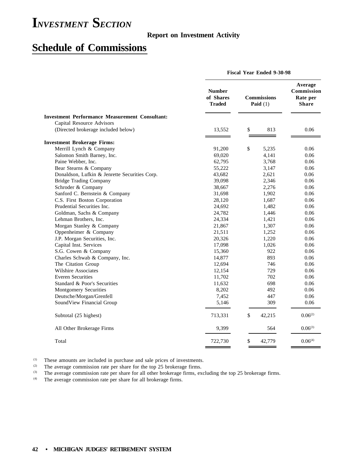### **Report on Investment Activity**

### **Schedule of Commissions**

|                                                       | <b>Fiscal Year Ended 9-30-98</b>            |    |                                  |                                                   |  |  |
|-------------------------------------------------------|---------------------------------------------|----|----------------------------------|---------------------------------------------------|--|--|
|                                                       | <b>Number</b><br>of Shares<br><b>Traded</b> |    | <b>Commissions</b><br>Paid $(1)$ | Average<br>Commission<br>Rate per<br><b>Share</b> |  |  |
| <b>Investment Performance Measurement Consultant:</b> |                                             |    |                                  |                                                   |  |  |
| Capital Resource Advisors                             |                                             |    |                                  |                                                   |  |  |
| (Directed brokerage included below)                   | 13,552                                      | \$ | 813                              | 0.06                                              |  |  |
| <b>Investment Brokerage Firms:</b>                    |                                             |    |                                  |                                                   |  |  |
| Merrill Lynch & Company                               | 91,200                                      | \$ | 5,235                            | 0.06                                              |  |  |
| Salomon Smith Barney, Inc.                            | 69,020                                      |    | 4,141                            | 0.06                                              |  |  |
| Paine Webber, Inc.                                    | 62,795                                      |    | 3,768                            | 0.06                                              |  |  |
| Bear Stearns & Company                                | 55,222                                      |    | 3,147                            | 0.06                                              |  |  |
| Donaldson, Lufkin & Jenrette Securities Corp.         | 43,682                                      |    | 2,621                            | 0.06                                              |  |  |
| <b>Bridge Trading Company</b>                         | 39,098                                      |    | 2,346                            | 0.06                                              |  |  |
| Schroder & Company                                    | 38,667                                      |    | 2,276                            | 0.06                                              |  |  |
| Sanford C. Bernstein & Company                        | 31,698                                      |    | 1,902                            | 0.06                                              |  |  |
| C.S. First Boston Corporation                         | 28,120                                      |    | 1,687                            | 0.06                                              |  |  |
| Prudential Securities Inc.                            | 24,692                                      |    | 1,482                            | 0.06                                              |  |  |
| Goldman, Sachs & Company                              | 24,782                                      |    | 1,446                            | 0.06                                              |  |  |
| Lehman Brothers, Inc.                                 | 24,334                                      |    | 1,421                            | 0.06                                              |  |  |
| Morgan Stanley & Company                              | 21,867                                      |    | 1,307                            | 0.06                                              |  |  |
| Oppenheimer & Company                                 | 21,511                                      |    | 1,252                            | 0.06                                              |  |  |
| J.P. Morgan Securities, Inc.                          | 20,326                                      |    | 1,220                            | 0.06                                              |  |  |
| Capital Inst. Services                                | 17,098                                      |    | 1,026                            | 0.06                                              |  |  |
| S.G. Cowen & Company                                  | 15,360                                      |    | 922                              | 0.06                                              |  |  |
| Charles Schwab & Company, Inc.                        | 14,877                                      |    | 893                              | 0.06                                              |  |  |
| The Citation Group                                    | 12,694                                      |    | 746                              | 0.06                                              |  |  |
| Wilshire Associates                                   | 12,154                                      |    | 729                              | 0.06                                              |  |  |
| <b>Everen Securities</b>                              | 11,702                                      |    | 702                              | 0.06                                              |  |  |
| Standard & Poor's Securities                          | 11,632                                      |    | 698                              | 0.06                                              |  |  |
| Montgomery Securities                                 | 8,202                                       |    | 492                              | 0.06                                              |  |  |
| Deutsche/Morgan/Grenfell                              | 7,452                                       |    | 447                              | 0.06                                              |  |  |
| SoundView Financial Group                             | 5,146                                       |    | 309                              | 0.06                                              |  |  |
| Subtotal (25 highest)                                 | 713,331                                     | \$ | 42,215                           | $0.06^{(2)}$                                      |  |  |
| All Other Brokerage Firms                             | 9,399                                       |    | 564                              | $0.06^{(3)}$                                      |  |  |
| Total                                                 | 722,730                                     | \$ | 42,779                           | 0.06 <sup>(4)</sup>                               |  |  |

(1) These amounts are included in purchase and sale prices of investments.

(2) The average commission rate per share for the top 25 brokerage firms.

(3) The average commission rate per share for all other brokerage firms, excluding the top 25 brokerage firms.<br>
(4) The average commission rate per share for all brokerage firms.

The average commission rate per share for all brokerage firms.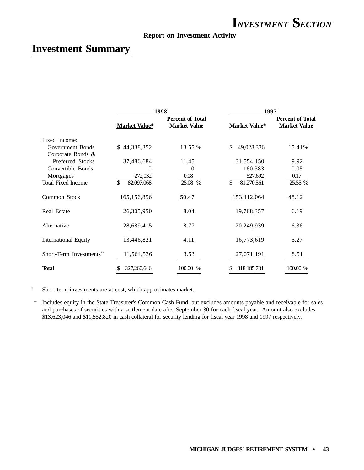### **Report on Investment Activity**

### **Investment Summary**

|                             |                      | 1998                                           |                  | 1997                                           |  |  |  |  |
|-----------------------------|----------------------|------------------------------------------------|------------------|------------------------------------------------|--|--|--|--|
|                             | <b>Market Value*</b> | <b>Percent of Total</b><br><b>Market Value</b> | Market Value*    | <b>Percent of Total</b><br><b>Market Value</b> |  |  |  |  |
| Fixed Income:               |                      |                                                |                  |                                                |  |  |  |  |
| Government Bonds            | \$44,338,352         | 13.55 %                                        | \$<br>49,028,336 | 15.41%                                         |  |  |  |  |
| Corporate Bonds &           |                      |                                                |                  |                                                |  |  |  |  |
| Preferred Stocks            | 37,486,684           | 11.45                                          | 31,554,150       | 9.92                                           |  |  |  |  |
| Convertible Bonds           | 0                    | 0                                              | 160,383          | 0.05                                           |  |  |  |  |
| Mortgages                   | 272,032              | 0.08                                           | 527,692          | 0.17                                           |  |  |  |  |
| <b>Total Fixed Income</b>   | 82,097,068<br>\$     | 25.08 %                                        | 81,270,561<br>\$ | 25.55 %                                        |  |  |  |  |
| Common Stock                | 165,156,856          | 50.47                                          | 153, 112, 064    | 48.12                                          |  |  |  |  |
| Real Estate                 | 26,305,950           | 8.04                                           | 19,708,357       | 6.19                                           |  |  |  |  |
| Alternative                 | 28,689,415           | 8.77                                           | 20,249,939       | 6.36                                           |  |  |  |  |
| <b>International Equity</b> | 13,446,821           | 4.11                                           | 16,773,619       | 5.27                                           |  |  |  |  |
| Short-Term Investments**    | 11,564,536           | 3.53                                           | 27,071,191       | 8.51                                           |  |  |  |  |
| <b>Total</b>                | 327,260,646          | 100.00 %                                       | 318, 185, 731    | 100.00 %                                       |  |  |  |  |

Short-term investments are at cost, which approximates market.

\*\* Includes equity in the State Treasurer's Common Cash Fund, but excludes amounts payable and receivable for sales and purchases of securities with a settlement date after September 30 for each fiscal year. Amount also excludes \$13,623,046 and \$11,552,820 in cash collateral for security lending for fiscal year 1998 and 1997 respectively.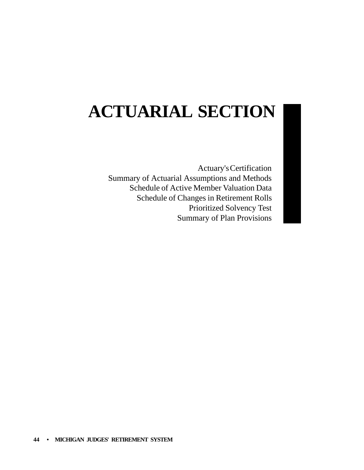# **ACTUARIAL SECTION**

Actuary's Certification Summary of Actuarial Assumptions and Methods Schedule of Active Member Valuation Data Schedule of Changes in Retirement Rolls Prioritized Solvency Test Summary of Plan Provisions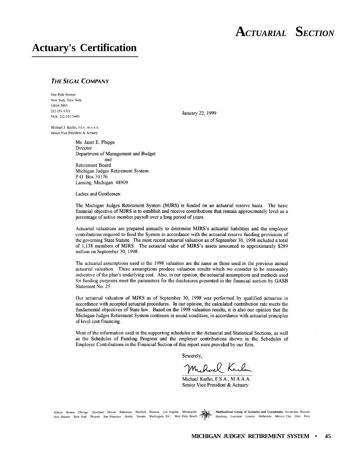### **Actuary's Certification**

### **THE SEGAL COMPANY**

One Park Avenue New York, New York 10016-5895 212-251-5321 FAX: 212-251-5490

January 22, 1999

Michael J. Karlin, F.S.A., M.A.A.A. Senior Vice President & Actuary

> Ms. Janet E. Phipps Director Department of Management and Budget and Retirement Board Michigan Judges Retirement System P.O. Box 30176 Lansing, Michigan 48909

Ladies and Gentlemen:

The Michigan Judges Retirement System (MJRS) is funded on an actuarial reserve basis. The basic financial objective of MJRS is to establish and receive contributions that remain approximately level as a percentage of active member payroll over a long period of years.

Actuarial valuations are prepared annually to determine MJRS's actuarial liabilities and the employer contributions required to fund the System in accordance with the actuarial reserve funding provisions of the governing State Statute. The most recent actuarial valuation as of September 30, 1998 included a total of 1,138 members of MJRS. The actuarial value of MJRS's assets amounted to approximately \$289 million on September 30, 1998.

The actuarial assumptions used in the 1998 valuation are the same as those used in the previous annual actuarial valuation. These assumptions produce valuation results which we consider to be reasonably indicative of the plan's underlying cost. Also, in our opinion, the actuarial assumptions and methods used for funding purposes meet the parameters for the disclosures presented in the financial section by GASB Statement No. 25.

Our actuarial valuation of MJRS as of September 30, 1998 was performed by qualified actuaries in accordance with accepted actuarial procedures. In our opinion, the calculated contribution rate meets the fundamental objectives of State law. Based on the 1998 valuation results, it is also our opinion that the Michigan Judges Retirement System continues in sound condition, in accordance with actuarial principles of level cost financing.

Most of the information used in the supporting schedules in the Actuarial and Statistical Sections, as well as the Schedules of Funding Progress and the employer contributions shown in the Schedules of Employer Contributions in the Financial Section of this report were provided by our firm.

Sincerely,

Michael Karlin

Michael Karlin, F.S.A., M.A.A.A. Senior Vice President & Actuary

Atlanta Boston Chicago Cleveland Denver Edmonton Hartford Houston Los Angeles Minneapolis Multinational Group of Actuaries and Consultants: Amsterdam Brussels New Orleans New York Phoenix San Francisco Seattle Toronto Washington, D.C. West Palm Beach Hamburg Lausanne London Melbourne Mexico City Oslo Paris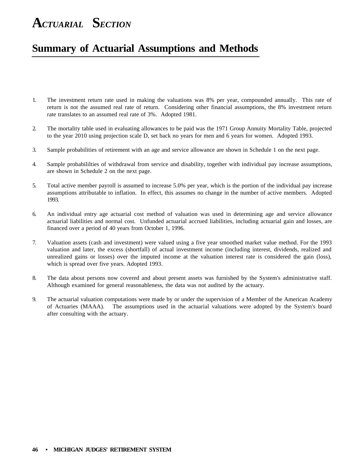## **A***CTUARIAL* **S***ECTION*

### **Summary of Actuarial Assumptions and Methods**

- 1. The investment return rate used in making the valuations was 8% per year, compounded annually. This rate of return is not the assumed real rate of return. Considering other financial assumptions, the 8% investment return rate translates to an assumed real rate of 3%. Adopted 1981.
- 2. The mortality table used in evaluating allowances to be paid was the 1971 Group Annuity Mortality Table, projected to the year 2010 using projection scale D, set back no years for men and 6 years for women. Adopted 1993.
- 3. Sample probabilities of retirement with an age and service allowance are shown in Schedule 1 on the next page.
- 4. Sample probabililties of withdrawal from service and disability, together with individual pay increase assumptions, are shown in Schedule 2 on the next page.
- 5. Total active member payroll is assumed to increase 5.0% per year, which is the portion of the individual pay increase assumptions attributable to inflation. In effect, this assumes no change in the number of active members. Adopted 1993.
- 6. An individual entry age actuarial cost method of valuation was used in determining age and service allowance actuarial liabilities and normal cost. Unfunded actuarial accrued liabilities, including actuarial gain and losses, are financed over a period of 40 years from October 1, 1996.
- 7. Valuation assets (cash and investment) were valued using a five year smoothed market value method. For the 1993 valuation and later, the excess (shortfall) of actual investment income (including interest, dividends, realized and unrealized gains or losses) over the imputed income at the valuation interest rate is considered the gain (loss), which is spread over five years. Adopted 1993.
- 8. The data about persons now covered and about present assets was furnished by the System's administrative staff. Although examined for general reasonableness, the data was not audited by the actuary.
- 9. The actuarial valuation computations were made by or under the supervision of a Member of the American Academy of Actuaries (MAAA). The assumptions used in the actuarial valuations were adopted by the System's board after consulting with the actuary.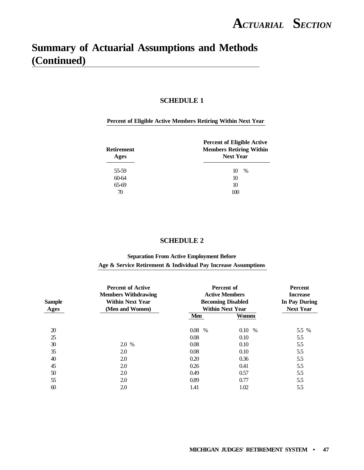### **Summary of Actuarial Assumptions and Methods (Continued)**

### **SCHEDULE 1**

#### **Percent of Eligible Active Members Retiring Within Next Year**

| <b>Retirement</b><br>Ages | <b>Percent of Eligible Active</b><br><b>Members Retiring Within</b><br><b>Next Year</b> |
|---------------------------|-----------------------------------------------------------------------------------------|
| 55-59                     | $\%$<br>10                                                                              |
| $60 - 64$                 | 10                                                                                      |
| 65-69                     | 10                                                                                      |
| 70                        | 1M)                                                                                     |

### **SCHEDULE 2**

### **Separation From Active Employment Before Age & Service Retirement & Individual Pay Increase Assumptions**

| Sample<br><b>Ages</b> | <b>Percent of Active</b><br><b>Members Withdrawing</b><br><b>Within Next Year</b><br>(Men and Women) | Percent of<br><b>Active Members</b><br><b>Becoming Disabled</b><br><b>Within Next Year</b> | Percent<br><b>Increase</b><br>In Pay During<br><b>Next Year</b> |       |
|-----------------------|------------------------------------------------------------------------------------------------------|--------------------------------------------------------------------------------------------|-----------------------------------------------------------------|-------|
|                       |                                                                                                      | Men                                                                                        | Women                                                           |       |
| 20                    |                                                                                                      | $0.08\%$                                                                                   | 0.10<br>$\%$                                                    | 5.5 % |
| 25                    |                                                                                                      | 0.08                                                                                       | 0.10                                                            | 5.5   |
| 30                    | 2.0 %                                                                                                | 0.08                                                                                       | 0.10                                                            | 5.5   |
| 35                    | 2.0                                                                                                  | 0.08                                                                                       | 0.10                                                            | 5.5   |
| 40                    | 2.0                                                                                                  | 0.20                                                                                       | 0.36                                                            | 5.5   |
| 45                    | 2.0                                                                                                  | 0.26                                                                                       | 0.41                                                            | 5.5   |
| 50                    | 2.0                                                                                                  | 0.49                                                                                       | 0.57                                                            | 5.5   |
| 55                    | 2.0                                                                                                  | 0.89                                                                                       | 0.77                                                            | 5.5   |
| 60                    | 2.0                                                                                                  | 1.41                                                                                       | 1.02                                                            | 5.5   |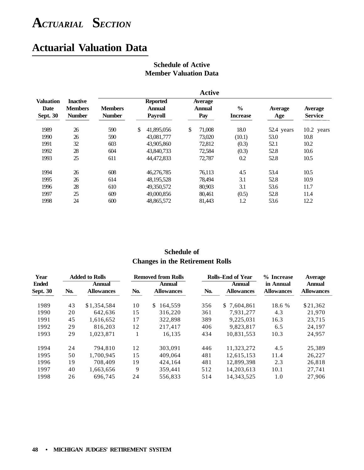## **A***CTUARIAL* **S***ECTION*

### **Actuarial Valuation Data**

|                                             |                                                    |                                 |                                                    | <b>Active</b>                   |                                  |                       |                                  |
|---------------------------------------------|----------------------------------------------------|---------------------------------|----------------------------------------------------|---------------------------------|----------------------------------|-----------------------|----------------------------------|
| <b>Valuation</b><br>Date<br><b>Sept. 30</b> | <b>Inactive</b><br><b>Members</b><br><b>Number</b> | <b>Members</b><br><b>Number</b> | <b>Reported</b><br><b>Annual</b><br><b>Payroll</b> | <b>Average</b><br>Annual<br>Pay | $\frac{0}{0}$<br><b>Increase</b> | <b>Average</b><br>Age | <b>Average</b><br><b>Service</b> |
| 1989                                        | 26                                                 | 590                             | \$<br>41,895,056                                   | \$<br>71,008                    | 18.0                             | 52.4 years            | 10.2 years                       |
| 1990                                        | 26                                                 | 590                             | 43,081,777                                         | 73,020                          | (10.1)                           | 53.0                  | 10.8                             |
| 1991                                        | 32                                                 | 603                             | 43,905,860                                         | 72,812                          | (0.3)                            | 52.1                  | 10.2                             |
| 1992                                        | 28                                                 | 604                             | 43,840,733                                         | 72,584                          | (0.3)                            | 52.8                  | 10.6                             |
| 1993                                        | 25                                                 | 611                             | 44,472,833                                         | 72,787                          | 0.2                              | 52.8                  | 10.5                             |
| 1994                                        | 26                                                 | 608                             | 46,276,785                                         | 76,113                          | 4.5                              | 53.4                  | 10.5                             |
| 1995                                        | 26                                                 | 614                             | 48, 195, 528                                       | 78.494                          | 3.1                              | 52.8                  | 10.9                             |
| 1996                                        | 28                                                 | 610                             | 49,350,572                                         | 80,903                          | 3.1                              | 53.6                  | 11.7                             |
| 1997                                        | 25                                                 | 609                             | 49,000,856                                         | 80,461                          | (0.5)                            | 52.8                  | 11.4                             |
| 1998                                        | 24                                                 | 600                             | 48,865,572                                         | 81,443                          | 1.2                              | 53.6                  | 12.2                             |

### **Schedule of Active Member Valuation Data**

### **Schedule of Changes in the Retirement Rolls**

| Year            |     | <b>Added to Rolls</b> |     | <b>Removed from Rolls</b> | Rolls–End of Year |                   | % Increase        | <b>Average</b>    |  |
|-----------------|-----|-----------------------|-----|---------------------------|-------------------|-------------------|-------------------|-------------------|--|
| <b>Ended</b>    |     | Annual                |     | Annual                    |                   | Annual            | in Annual         | <b>Annual</b>     |  |
| <b>Sept. 30</b> | No. | <b>Allowances</b>     | No. | <b>Allowances</b>         | No.               | <b>Allowances</b> | <b>Allowances</b> | <b>Allowances</b> |  |
| 1989            | 43  | \$1,354,584           | 10  | 164.559<br>\$.            | 356               | \$7.604.861       | 18.6 %            | \$21,362          |  |
| 1990            | 20  | 642.636               | 15  | 316,220                   | 361               | 7,931,277         | 4.3               | 21,970            |  |
| 1991            | 45  | 1.616.652             | 17  | 322.898                   | 389               | 9.225.031         | 16.3              | 23.715            |  |
| 1992            | 29  | 816.203               | 12  | 217.417                   | 406               | 9,823,817         | 6.5               | 24,197            |  |
| 1993            | 29  | 1.023.871             |     | 16.135                    | 434               | 10.831.553        | 10.3              | 24,957            |  |
| 1994            | 24  | 794.810               | 12  | 303.091                   | 446               | 11.323.272        | 4.5               | 25,389            |  |
| 1995            | 50  | 1.700.945             | 15  | 409.064                   | 481               | 12.615.153        | 11.4              | 26,227            |  |
| 1996            | 19  | 708,409               | 19  | 424.164                   | 481               | 12.899.398        | 2.3               | 26.818            |  |
| 1997            | 40  | 1,663,656             | 9   | 359,441                   | 512               | 14.203.613        | 10.1              | 27,741            |  |
| 1998            | 26  | 696.745               | 24  | 556.833                   | 514               | 14.343.525        | 1.0               | 27,906            |  |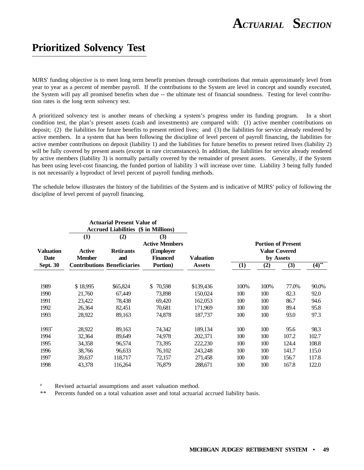### **Prioritized Solvency Test**

MJRS' funding objective is to meet long term benefit promises through contributions that remain approximately level from year to year as a percent of member payroll. If the contributions to the System are level in concept and soundly executed, the System will pay all promised benefits when due -- the ultimate test of financial soundness. Testing for level contribution rates is the long term solvency test.

A prioritized solvency test is another means of checking a system's progress under its funding program. In a short condition test, the plan's present assets (cash and investments) are compared with: (1) active member contributions on deposit; (2) the liabilities for future benefits to present retired lives; and (3) the liabilities for service already rendered by active members. In a system that has been following the discipline of level percent of payroll financing, the liabilities for active member contributions on deposit (liability 1) and the liabilities for future benefits to present retired lives (liability 2) will be fully covered by present assets (except in rare circumstances). In addition, the liabilities for service already rendered by active members (liability 3) is normally partially covered by the remainder of present assets. Generally, if the System has been using level-cost financing, the funded portion of liability 3 will increase over time. Liability 3 being fully funded is not necessarily a byproduct of level percent of payroll funding methods.

The schedule below illustrates the history of the liabilities of the System and is indicative of MJRS' policy of following the discipline of level percent of payroll financing.

|                          |                                | <b>Actuarial Present Value of</b><br><b>Accrued Liabilities</b> (\$ in Millions) |                              |               |      |                      |                           |                       |
|--------------------------|--------------------------------|----------------------------------------------------------------------------------|------------------------------|---------------|------|----------------------|---------------------------|-----------------------|
|                          | $\bf(1)$                       | (2)                                                                              | (3)<br><b>Active Members</b> |               |      |                      | <b>Portion of Present</b> |                       |
| <b>Valuation</b><br>Date | <b>Active</b><br><b>Member</b> | <b>Retirants</b><br>and                                                          | (Employer<br><b>Financed</b> | Valuation     |      | <b>Value Covered</b> | by Assets                 |                       |
| <b>Sept. 30</b>          |                                | <b>Contributions Beneficiaries</b>                                               | Portion)                     | <b>Assets</b> | (1)  | (2)                  | (3)                       | $\overline{(4)}^{**}$ |
| 1989                     | \$18,995                       | \$65,824                                                                         | 70,598<br><sup>\$</sup>      | \$139,436     | 100% | 100%                 | 77.0%                     | 90.0%                 |
| 1990                     | 21,760                         | 67,449                                                                           | 73,898                       | 150,024       | 100  | 100                  | 82.3                      | 92.0                  |
| 1991                     | 23,422                         | 78,438                                                                           | 69,420                       | 162,053       | 100  | 100                  | 86.7                      | 94.6                  |
| 1992                     | 26,364                         | 82,451                                                                           | 70,681                       | 171,969       | 100  | 100                  | 89.4                      | 95.8                  |
| 1993                     | 28,922                         | 89,163                                                                           | 74,878                       | 187.737       | 100  | 100                  | 93.0                      | 97.3                  |
| 1993*                    | 28,922                         | 89,163                                                                           | 74,342                       | 189,134       | 100  | 100                  | 95.6                      | 98.3                  |
| 1994                     | 32,364                         | 89,649                                                                           | 74,978                       | 202,371       | 100  | 100                  | 107.2                     | 102.7                 |
| 1995                     | 34,358                         | 96,574                                                                           | 73,395                       | 222,230       | 100  | 100                  | 124.4                     | 108.8                 |
| 1996                     | 38,766                         | 96,633                                                                           | 76,102                       | 243,248       | 100  | 100                  | 141.7                     | 115.0                 |
| 1997                     | 39,637                         | 118,717                                                                          | 72,157                       | 271,458       | 100  | 100                  | 156.7                     | 117.8                 |
| 1998                     | 43,378                         | 116,264                                                                          | 76,879                       | 288,671       | 100  | 100                  | 167.8                     | 122.0                 |

Revised actuarial assumptions and asset valuation method.

\*\* Percents funded on a total valuation asset and total actuarial accrued liability basis.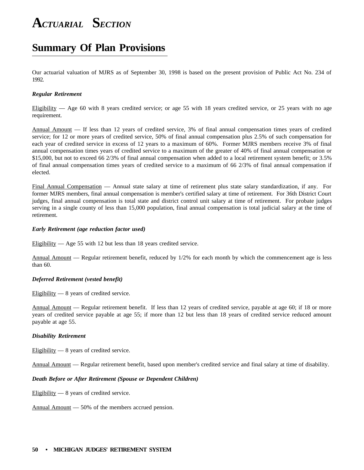## **A***CTUARIAL* **S***ECTION*

### **Summary Of Plan Provisions**

Our actuarial valuation of MJRS as of September 30, 1998 is based on the present provision of Public Act No. 234 of 1992.

### *Regular Retirement*

Eligibility — Age 60 with 8 years credited service; or age 55 with 18 years credited service, or 25 years with no age requirement.

Annual Amount — If less than 12 years of credited service, 3% of final annual compensation times years of credited service; for 12 or more years of credited service, 50% of final annual compensation plus 2.5% of such compensation for each year of credited service in excess of 12 years to a maximum of 60%. Former MJRS members receive 3% of final annual compensation times years of credited service to a maximum of the greater of 40% of final annual compensation or \$15,000, but not to exceed 66 2/3% of final annual compensation when added to a local retirement system benefit; or 3.5% of final annual compensation times years of credited service to a maximum of 66 2/3% of final annual compensation if elected.

Final Annual Compensation — Annual state salary at time of retirement plus state salary standardization, if any. For former MJRS members, final annual compensation is member's certified salary at time of retirement. For 36th District Court judges, final annual compensation is total state and district control unit salary at time of retirement. For probate judges serving in a single county of less than 15,000 population, final annual compensation is total judicial salary at the time of retirement.

#### *Early Retirement (age reduction factor used)*

Eligibility — Age 55 with 12 but less than 18 years credited service.

Annual Amount — Regular retirement benefit, reduced by 1/2% for each month by which the commencement age is less than 60.

### *Deferred Retirement (vested benefit)*

Eligibility — 8 years of credited service.

Annual Amount — Regular retirement benefit. If less than 12 years of credited service, payable at age 60; if 18 or more years of credited service payable at age 55; if more than 12 but less than 18 years of credited service reduced amount payable at age 55.

### *Disability Retirement*

Eligibility — 8 years of credited service.

Annual Amount — Regular retirement benefit, based upon member's credited service and final salary at time of disability.

### *Death Before or After Retirement (Spouse or Dependent Children)*

Eligibility — 8 years of credited service.

Annual Amount — 50% of the members accrued pension.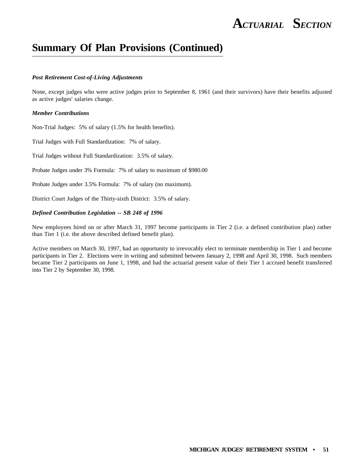

### **Summary Of Plan Provisions (Continued)**

#### *Post Retirement Cost-of-Living Adjustments*

None, except judges who were active judges prior to September 8, 1961 (and their survivors) have their benefits adjusted as active judges' salaries change.

#### *Member Contributions*

Non-Trial Judges: 5% of salary (1.5% for health benefits).

Trial Judges with Full Standardization: 7% of salary.

Trial Judges without Full Standardization: 3.5% of salary.

Probate Judges under 3% Formula: 7% of salary to maximum of \$980.00

Probate Judges under 3.5% Formula: 7% of salary (no maximum).

District Court Judges of the Thirty-sixth District: 3.5% of salary.

#### *Defined Contribution Legislation -- SB 248 of 1996*

New employees hired on or after March 31, 1997 become participants in Tier 2 (i.e. a defined contribution plan) rather than Tier 1 (i.e*.* the above described defined benefit plan).

Active members on March 30, 1997, had an opportunity to irrevocably elect to terminate membership in Tier 1 and become participants in Tier 2. Elections were in writing and submitted between January 2, 1998 and April 30, 1998. Such members became Tier 2 participants on June 1, 1998, and had the actuarial present value of their Tier 1 accrued benefit transferred into Tier 2 by September 30, 1998.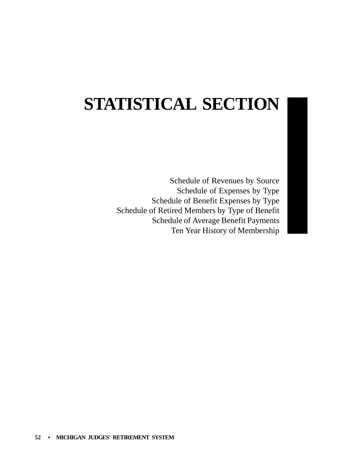Schedule of Revenues by Source Schedule of Expenses by Type Schedule of Benefit Expenses by Type Schedule of Retired Members by Type of Benefit Schedule of Average Benefit Payments Ten Year History of Membership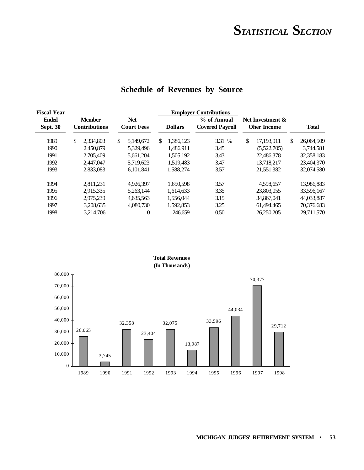| <b>Member</b>   |                      | <b>Net</b>     |                   | <b>Dollars</b> |  |                                                                                                                                                          |             |                    | <b>Total</b>     |
|-----------------|----------------------|----------------|-------------------|----------------|--|----------------------------------------------------------------------------------------------------------------------------------------------------------|-------------|--------------------|------------------|
| \$<br>2.334.803 | \$                   | 5.149.672      | \$                | 1,386,123      |  | \$                                                                                                                                                       | 17.193.911  | \$                 | 26,064,509       |
| 2.450.879       |                      | 5.329.496      |                   | 1.486.911      |  |                                                                                                                                                          | (5,522,705) |                    | 3,744,581        |
| 2,705,409       |                      | 5,661,204      |                   | 1,505,192      |  |                                                                                                                                                          | 22,486,378  |                    | 32,358,183       |
| 2,447,047       |                      | 5,719,623      |                   | 1,519,483      |  |                                                                                                                                                          | 13.718.217  |                    | 23,404,370       |
| 2,833,083       |                      | 6,101,841      |                   | 1,588,274      |  |                                                                                                                                                          | 21,551,382  |                    | 32,074,580       |
| 2,811,231       |                      | 4,926,397      |                   | 1,650,598      |  |                                                                                                                                                          | 4,598,657   |                    | 13,986,883       |
| 2,915,335       |                      | 5.263.144      |                   | 1.614.633      |  |                                                                                                                                                          | 23,803,055  |                    | 33,596,167       |
| 2,975,239       |                      | 4,635,563      |                   | 1,556,044      |  |                                                                                                                                                          | 34,867,041  |                    | 44,033,887       |
| 3,208,635       |                      | 4,080,730      |                   | 1,592,853      |  |                                                                                                                                                          | 61.494.465  |                    | 70,376,683       |
| 3.214.706       |                      | $\overline{0}$ |                   | 246,659        |  |                                                                                                                                                          | 26,250,205  |                    | 29.711.570       |
|                 | <b>Contributions</b> |                | <b>Court Fees</b> |                |  | <b>Employer Contributions</b><br>% of Annual<br><b>Covered Payroll</b><br>3.31 %<br>3.45<br>3.43<br>3.47<br>3.57<br>3.57<br>3.35<br>3.15<br>3.25<br>0.50 |             | <b>Oher Income</b> | Net Investment & |

### **Schedule of Revenues by Source**



### **Total Revenues (In Thousands)**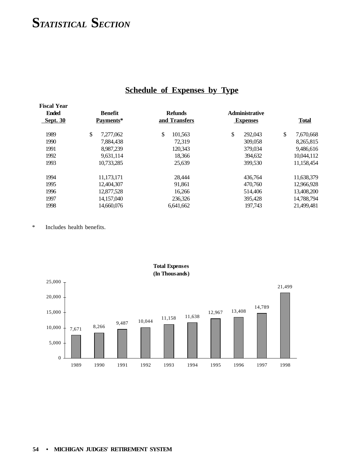| <b>Fiscal Year</b> |                 |                |                       |                 |
|--------------------|-----------------|----------------|-----------------------|-----------------|
| <b>Ended</b>       | <b>Benefit</b>  | <b>Refunds</b> | <b>Administrative</b> |                 |
| <b>Sept. 30</b>    | Payments*       | and Transfers  | <b>Expenses</b>       | <b>Total</b>    |
| 1989               | \$<br>7,277,062 | \$<br>101,563  | \$<br>292,043         | \$<br>7,670,668 |
| 1990               | 7,884,438       | 72.319         | 309,058               | 8,265,815       |
| 1991               | 8,987,239       | 120,343        | 379,034               | 9,486,616       |
| 1992               | 9.631.114       | 18,366         | 394.632               | 10,044,112      |
| 1993               | 10,733,285      | 25,639         | 399,530               | 11,158,454      |
| 1994               | 11,173,171      | 28.444         | 436,764               | 11,638,379      |
| 1995               | 12,404,307      | 91.861         | 470,760               | 12,966,928      |
| 1996               | 12,877,528      | 16.266         | 514,406               | 13,408,200      |
| 1997               | 14, 157, 040    | 236,326        | 395,428               | 14,788,794      |
| 1998               | 14,660,076      | 6.641.662      | 197,743               | 21.499.481      |
|                    |                 |                |                       |                 |

### **Schedule of Expenses by Type**

\* Includes health benefits.



### **Total Expenses**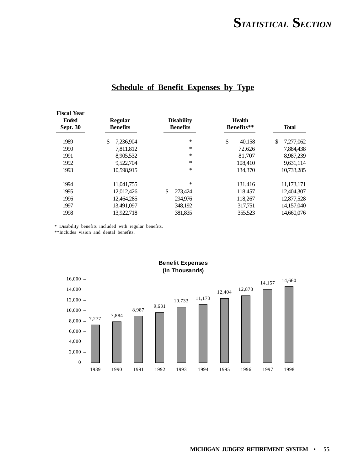| <b>Fiscal Year</b><br><b>Ended</b><br><b>Sept. 30</b> | <b>Regular</b><br><b>Benefits</b> | <b>Disability</b><br><b>Benefits</b> | <b>Health</b><br>Benefits** | <b>Total</b>   |  |
|-------------------------------------------------------|-----------------------------------|--------------------------------------|-----------------------------|----------------|--|
| 1989                                                  | \$<br>7,236,904                   | *                                    | \$<br>40,158                | S<br>7,277,062 |  |
| 1990                                                  | 7,811,812                         | *                                    | 72,626                      | 7,884,438      |  |
| 1991                                                  | 8,905,532                         | ∗                                    | 81,707                      | 8,987,239      |  |
| 1992                                                  | 9,522,704                         | ∗                                    | 108,410                     | 9,631,114      |  |
| 1993                                                  | 10,598,915                        | *                                    | 134.370                     | 10,733,285     |  |
| 1994                                                  | 11,041,755                        | ∗                                    | 131.416                     | 11, 173, 171   |  |
| 1995                                                  | 12,012,426                        | \$<br>273.424                        | 118,457                     | 12,404,307     |  |
| 1996                                                  | 12.464.285                        | 294.976                              | 118,267                     | 12,877,528     |  |
| 1997                                                  | 13,491,097                        | 348,192                              | 317,751                     | 14,157,040     |  |
| 1998                                                  | 13.922.718                        | 381,835                              | 355,523                     | 14,660,076     |  |

### **Schedule of Benefit Expenses by Type**

\* Disability benefits included with regular benefits.

\*\*Includes vision and dental benefits.



### **Benefit Expenses (In Thousands)**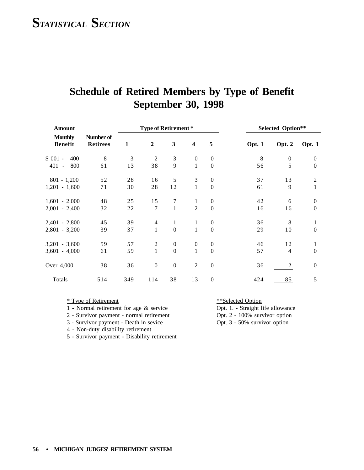| <b>Amount</b>                    |                              |     | Type of Retirement*      |                  |                |                  | Selected Option** |                  |                  |
|----------------------------------|------------------------------|-----|--------------------------|------------------|----------------|------------------|-------------------|------------------|------------------|
| <b>Monthly</b><br><b>Benefit</b> | Number of<br><b>Retirees</b> | 1   | $\overline{2}$           | $\mathbf{3}$     | 4              | 5 <sub>5</sub>   | Opt. $1$          | Opt. $2$         | Opt. $3$         |
| $$001 - 400$                     | 8                            | 3   | 2                        | 3                | $\overline{0}$ | $\boldsymbol{0}$ | 8                 | $\boldsymbol{0}$ | $\mathbf{0}$     |
| 401 - 800                        | 61                           | 13  | 38                       | 9                | 1              | $\boldsymbol{0}$ | 56                | 5                | $\theta$         |
| $801 - 1,200$                    | 52                           | 28  | 16                       | 5                | 3              | $\mathbf{0}$     | 37                | 13               | $\overline{2}$   |
| $1,201 - 1,600$                  | 71                           | 30  | 28                       | 12               | $\mathbf{1}$   | $\boldsymbol{0}$ | 61                | 9                | 1                |
| $1,601 - 2,000$                  | 48                           | 25  | 15                       | $\tau$           | 1              | $\boldsymbol{0}$ | 42                | 6                | $\theta$         |
| $2,001 - 2,400$                  | 32                           | 22  | 7                        | $\mathbf{1}$     | $\mathfrak{D}$ | $\boldsymbol{0}$ | 16                | 16               | $\theta$         |
| $2,401 - 2,800$                  | 45                           | 39  | $\overline{\mathcal{A}}$ | 1                | 1              | $\mathbf{0}$     | 36                | 8                | 1                |
| $2,801 - 3,200$                  | 39                           | 37  | 1                        | $\overline{0}$   | 1              | $\theta$         | 29                | 10               | $\theta$         |
| $3,201 - 3,600$                  | 59                           | 57  | $\boldsymbol{2}$         | $\overline{0}$   | $\mathbf{0}$   | $\mathbf{0}$     | 46                | 12               | 1                |
| $3,601 - 4,000$                  | 61                           | 59  | $\mathbf{1}$             | $\Omega$         | $\mathbf{1}$   | $\mathbf{0}$     | 57                | $\overline{4}$   | $\Omega$         |
| Over 4,000                       | 38                           | 36  | $\boldsymbol{0}$         | $\boldsymbol{0}$ | 2              | $\boldsymbol{0}$ | 36                | $\overline{c}$   | $\boldsymbol{0}$ |
| Totals                           | 514                          | 349 | 114                      | 38               | 13             | $\mathbf{0}$     | 424               | 85               | 5                |

### **Schedule of Retired Members by Type of Benefit September 30, 1998**

\* Type of Retirement \*\*Selected Option

- 1 Normal retirement for age & service Opt. 1. Straight life allowance
- 2 Survivor payment normal retirement Opt. 2 100% survivor option
- 3 Survivor payment Death in sevice Opt. 3 50% survivor option
- 4 Non-duty disability retirement
- 5 Survivor payment Disability retirement
- 
- 
- 
-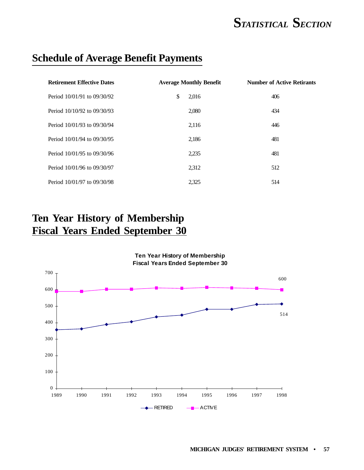### **Schedule of Average Benefit Payments**

| <b>Retirement Effective Dates</b> | <b>Average Monthly Benefit</b> | <b>Number of Active Retirants</b> |
|-----------------------------------|--------------------------------|-----------------------------------|
| Period 10/01/91 to 09/30/92       | \$<br>2,016                    | 406                               |
| Period 10/10/92 to 09/30/93       | 2,080                          | 434                               |
| Period 10/01/93 to 09/30/94       | 2,116                          | 446                               |
| Period 10/01/94 to 09/30/95       | 2,186                          | 481                               |
| Period 10/01/95 to 09/30/96       | 2,235                          | 481                               |
| Period 10/01/96 to 09/30/97       | 2,312                          | 512                               |
| Period 10/01/97 to 09/30/98       | 2,325                          | 514                               |

### **Ten Year History of Membership Fiscal Years Ended September 30**